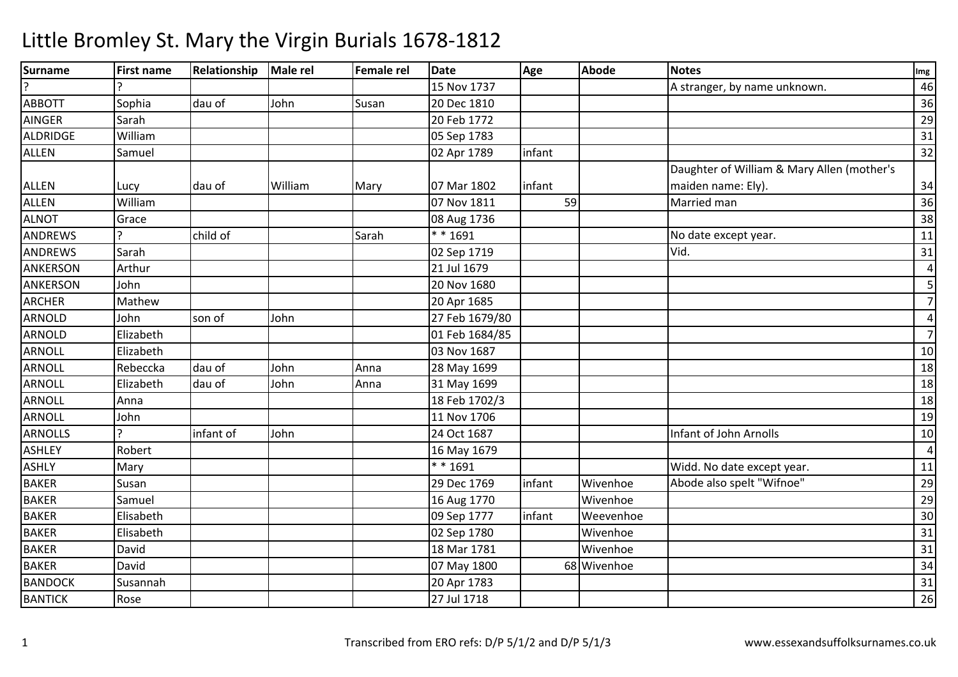| <b>Surname</b> | <b>First name</b> | Relationship | Male rel | Female rel | <b>Date</b>    | Age    | <b>Abode</b> | <b>Notes</b>                               | Img                     |
|----------------|-------------------|--------------|----------|------------|----------------|--------|--------------|--------------------------------------------|-------------------------|
| $\overline{?}$ |                   |              |          |            | 15 Nov 1737    |        |              | A stranger, by name unknown.               | 46                      |
| <b>ABBOTT</b>  | Sophia            | dau of       | John     | Susan      | 20 Dec 1810    |        |              |                                            | 36                      |
| <b>AINGER</b>  | Sarah             |              |          |            | 20 Feb 1772    |        |              |                                            | 29                      |
| ALDRIDGE       | William           |              |          |            | 05 Sep 1783    |        |              |                                            | 31                      |
| <b>ALLEN</b>   | Samuel            |              |          |            | 02 Apr 1789    | infant |              |                                            | 32                      |
|                |                   |              |          |            |                |        |              | Daughter of William & Mary Allen (mother's |                         |
| <b>ALLEN</b>   | Lucy              | dau of       | William  | Mary       | 07 Mar 1802    | infant |              | maiden name: Ely).                         | 34                      |
| <b>ALLEN</b>   | William           |              |          |            | 07 Nov 1811    | 59     |              | Married man                                | 36                      |
| <b>ALNOT</b>   | Grace             |              |          |            | 08 Aug 1736    |        |              |                                            | 38                      |
| <b>ANDREWS</b> |                   | child of     |          | Sarah      | $* * 1691$     |        |              | No date except year.                       | 11                      |
| <b>ANDREWS</b> | Sarah             |              |          |            | 02 Sep 1719    |        |              | Vid.                                       | 31                      |
| ANKERSON       | Arthur            |              |          |            | 21 Jul 1679    |        |              |                                            | $\overline{4}$          |
| ANKERSON       | John              |              |          |            | 20 Nov 1680    |        |              |                                            | $\overline{\mathbf{5}}$ |
| <b>ARCHER</b>  | Mathew            |              |          |            | 20 Apr 1685    |        |              |                                            | $\overline{7}$          |
| ARNOLD         | John              | son of       | John     |            | 27 Feb 1679/80 |        |              |                                            | $\overline{4}$          |
| ARNOLD         | Elizabeth         |              |          |            | 01 Feb 1684/85 |        |              |                                            | $\overline{7}$          |
| <b>ARNOLL</b>  | Elizabeth         |              |          |            | 03 Nov 1687    |        |              |                                            | $10\,$                  |
| <b>ARNOLL</b>  | Rebeccka          | dau of       | John     | Anna       | 28 May 1699    |        |              |                                            | 18                      |
| ARNOLL         | Elizabeth         | dau of       | John     | Anna       | 31 May 1699    |        |              |                                            | 18                      |
| ARNOLL         | Anna              |              |          |            | 18 Feb 1702/3  |        |              |                                            | 18                      |
| <b>ARNOLL</b>  | John              |              |          |            | 11 Nov 1706    |        |              |                                            | 19                      |
| <b>ARNOLLS</b> |                   | infant of    | John     |            | 24 Oct 1687    |        |              | Infant of John Arnolls                     | 10                      |
| <b>ASHLEY</b>  | Robert            |              |          |            | 16 May 1679    |        |              |                                            | $\overline{4}$          |
| <b>ASHLY</b>   | Mary              |              |          |            | * * 1691       |        |              | Widd. No date except year.                 | 11                      |
| BAKER          | Susan             |              |          |            | 29 Dec 1769    | infant | Wivenhoe     | Abode also spelt "Wifnoe"                  | 29                      |
| <b>BAKER</b>   | Samuel            |              |          |            | 16 Aug 1770    |        | Wivenhoe     |                                            | $\overline{29}$         |
| <b>BAKER</b>   | Elisabeth         |              |          |            | 09 Sep 1777    | infant | Weevenhoe    |                                            | 30                      |
| <b>BAKER</b>   | Elisabeth         |              |          |            | 02 Sep 1780    |        | Wivenhoe     |                                            | 31                      |
| <b>BAKER</b>   | David             |              |          |            | 18 Mar 1781    |        | Wivenhoe     |                                            | 31                      |
| <b>BAKER</b>   | David             |              |          |            | 07 May 1800    |        | 68 Wivenhoe  |                                            | 34                      |
| <b>BANDOCK</b> | Susannah          |              |          |            | 20 Apr 1783    |        |              |                                            | 31                      |
| <b>BANTICK</b> | Rose              |              |          |            | 27 Jul 1718    |        |              |                                            | 26                      |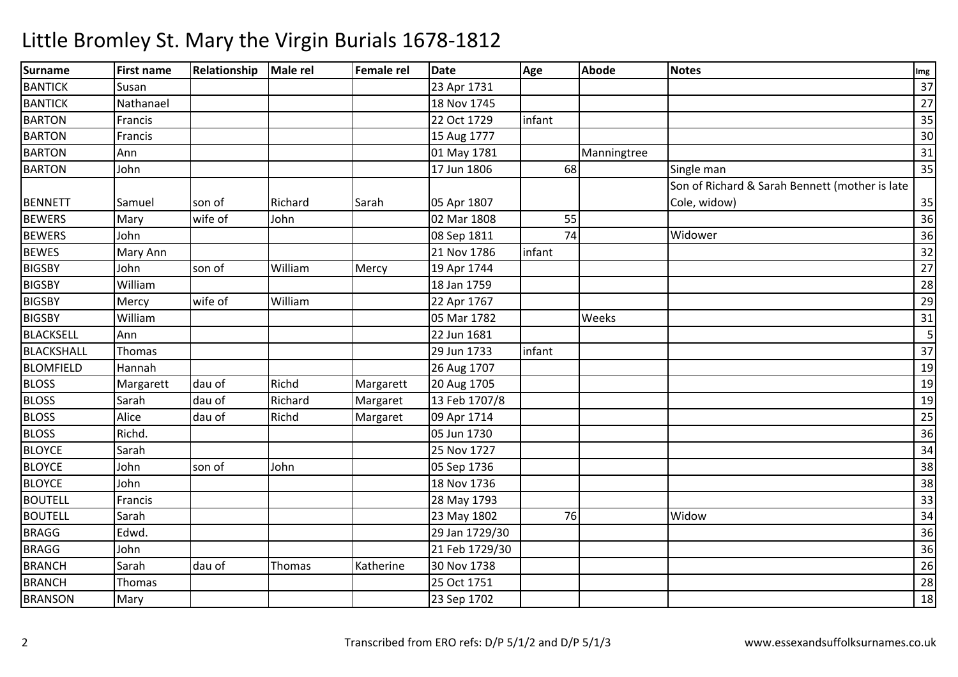| <b>Surname</b>    | <b>First name</b> | Relationship | Male rel | <b>Female rel</b> | <b>Date</b>    | Age    | Abode       | <b>Notes</b>                                   | Img             |
|-------------------|-------------------|--------------|----------|-------------------|----------------|--------|-------------|------------------------------------------------|-----------------|
| <b>BANTICK</b>    | Susan             |              |          |                   | 23 Apr 1731    |        |             |                                                | 37              |
| <b>BANTICK</b>    | Nathanael         |              |          |                   | 18 Nov 1745    |        |             |                                                | $\overline{27}$ |
| <b>BARTON</b>     | Francis           |              |          |                   | 22 Oct 1729    | infant |             |                                                | 35              |
| <b>BARTON</b>     | Francis           |              |          |                   | 15 Aug 1777    |        |             |                                                | 30              |
| <b>BARTON</b>     | Ann               |              |          |                   | 01 May 1781    |        | Manningtree |                                                | 31              |
| <b>BARTON</b>     | John              |              |          |                   | 17 Jun 1806    | 68     |             | Single man                                     | 35              |
|                   |                   |              |          |                   |                |        |             | Son of Richard & Sarah Bennett (mother is late |                 |
| <b>BENNETT</b>    | Samuel            | son of       | Richard  | Sarah             | 05 Apr 1807    |        |             | Cole, widow)                                   | 35              |
| <b>BEWERS</b>     | Mary              | wife of      | John     |                   | 02 Mar 1808    | 55     |             |                                                | 36              |
| <b>BEWERS</b>     | John              |              |          |                   | 08 Sep 1811    | 74     |             | Widower                                        | 36              |
| <b>BEWES</b>      | Mary Ann          |              |          |                   | 21 Nov 1786    | infant |             |                                                | 32              |
| <b>BIGSBY</b>     | John              | son of       | William  | Mercy             | 19 Apr 1744    |        |             |                                                | 27              |
| <b>BIGSBY</b>     | William           |              |          |                   | 18 Jan 1759    |        |             |                                                | 28              |
| <b>BIGSBY</b>     | Mercy             | wife of      | William  |                   | 22 Apr 1767    |        |             |                                                | 29              |
| <b>BIGSBY</b>     | William           |              |          |                   | 05 Mar 1782    |        | Weeks       |                                                | 31              |
| <b>BLACKSELL</b>  | Ann               |              |          |                   | 22 Jun 1681    |        |             |                                                | 5               |
| <b>BLACKSHALL</b> | Thomas            |              |          |                   | 29 Jun 1733    | infant |             |                                                | 37              |
| <b>BLOMFIELD</b>  | Hannah            |              |          |                   | 26 Aug 1707    |        |             |                                                | 19              |
| <b>BLOSS</b>      | Margarett         | dau of       | Richd    | Margarett         | 20 Aug 1705    |        |             |                                                | 19              |
| <b>BLOSS</b>      | Sarah             | dau of       | Richard  | Margaret          | 13 Feb 1707/8  |        |             |                                                | 19              |
| <b>BLOSS</b>      | Alice             | dau of       | Richd    | Margaret          | 09 Apr 1714    |        |             |                                                | 25              |
| <b>BLOSS</b>      | Richd.            |              |          |                   | 05 Jun 1730    |        |             |                                                | 36              |
| <b>BLOYCE</b>     | Sarah             |              |          |                   | 25 Nov 1727    |        |             |                                                | 34              |
| <b>BLOYCE</b>     | John              | son of       | John     |                   | 05 Sep 1736    |        |             |                                                | 38              |
| <b>BLOYCE</b>     | John              |              |          |                   | 18 Nov 1736    |        |             |                                                | 38              |
| <b>BOUTELL</b>    | Francis           |              |          |                   | 28 May 1793    |        |             |                                                | $\overline{33}$ |
| <b>BOUTELL</b>    | Sarah             |              |          |                   | 23 May 1802    | 76     |             | Widow                                          | 34              |
| <b>BRAGG</b>      | Edwd.             |              |          |                   | 29 Jan 1729/30 |        |             |                                                | 36              |
| <b>BRAGG</b>      | John              |              |          |                   | 21 Feb 1729/30 |        |             |                                                | 36              |
| <b>BRANCH</b>     | Sarah             | dau of       | Thomas   | Katherine         | 30 Nov 1738    |        |             |                                                | 26              |
| <b>BRANCH</b>     | Thomas            |              |          |                   | 25 Oct 1751    |        |             |                                                | 28              |
| <b>BRANSON</b>    | Mary              |              |          |                   | 23 Sep 1702    |        |             |                                                | 18              |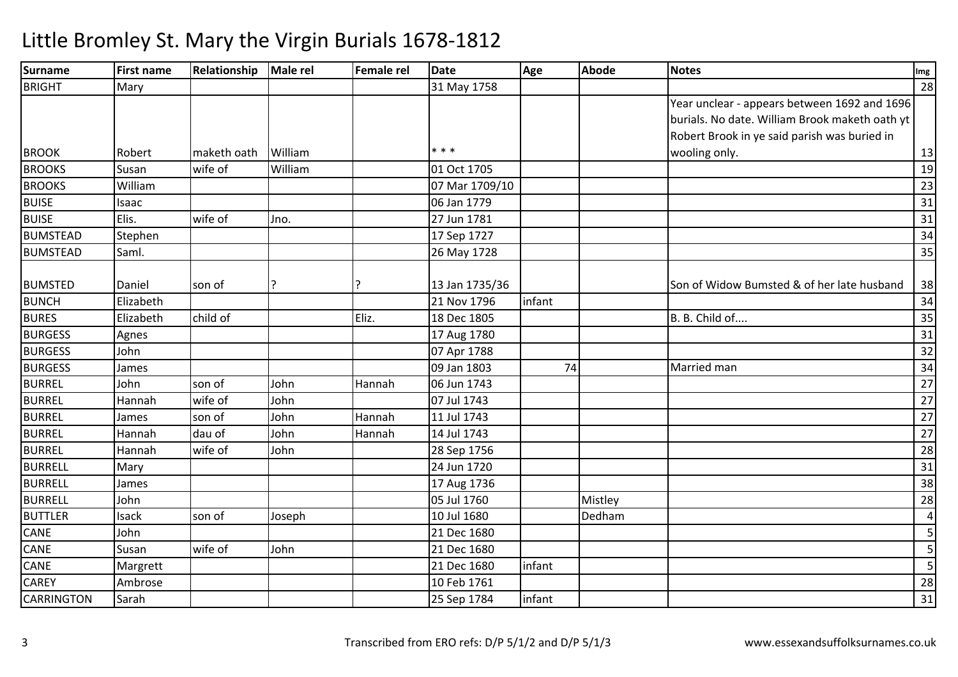#### **Surname First name Relationship Male rel Female rel Date Age Abode Notes Img** BRIGHT Mary 31 May 17588 a contract to the contract of the contract of the contract of the contract of the contract of the contract of BROOK Robert Maketh oath William  $* * *$ Year unclear - appears between 1692 and 1696 burials. No date. William Brook maketh oath yt Robert Brook in ye said parish was buried in wooling only. $\sim$  13 19 **BROOKS**  Susan wife of Williamm 01 Oct 1705 19<br>
02 - 1790 (18 - 1790 (19 - 1790 (19 - 1790 (19 - 1790 (19 - 1790 (19 - 1790 (19 - 1790 (19 - 1790 (19 - 1790 **BROOKS**  William 07 Mar 1709/10 <sup>23</sup> BUISE Isaac 06 Jan 1779 <sup>31</sup> BUISEE Elis. Wife of Jno. 27 Jun 1781 <sup>31</sup> BUMSTEADD Stephen 134 BUMSTEADD Saml. 25 Nay 1728 26 May 1728 26 Nay 1728 35 BUMSTED Daniel son of  $\vert$ ? | |? | 13 Jan 1735/36 Son of Widow Bumsted & of her late husband $\frac{38}{34}$ BUNCHH Elizabeth 21 Nov 1796 infant 2011 Nov 1796 infant 21 Nov 1796 infant 34 BURES Elizabethh child of Eliz. 18 Dec 1805 B. B. Child of.... 35 BURGESSS Agnes 2017 Agnes 2018 Agnes 2018 17 Aug 1780  $\begin{array}{|c|c|c|c|c|}\n\hline\n31\n\end{array}$ BURGESS John 07 Apr 1788 <sup>32</sup> BURGESSS James 1999 James 2014 1999 Jan 1803 09 Jan 1803 **1920 12:23 12:24 Married man**<br>06 Jun 1743 **1920 12:24 12:25 12:25 12:25 12:25 12:25 12:25 12:25 12:25 12:25 12:25 12:25 12:25 12:25 12:25 12:25** n 34 BURREL John son of John Hannah 06 Jun 1743 <sup>27</sup> BURREL Hannah wife of John 07 Jul 1743 <sup>27</sup> BURRELL James son of John Hannah 11 Jul 1743 <sup>27</sup> BURREL Hannah dau of John Hannah 14 Jul 1743 <sup>27</sup> BURREL Hannahh |wife of |John | 28 Sep 1756 | 28 **BURRELL**  Maryy 124 Jun 1720 0 31 BURRELL James 17 Aug 1736 $\overline{6}$  38 BURRELL John 05 Jul 1760 Mistley <sup>28</sup> BUTTLERR Isack son of Joseph 10 Jul 1680 Dedham 45 CANE John 21 Dec 1680 <sup>5</sup> CANE Susan wife of John 21 Dec 1680 <sup>5</sup> CANEE Margrett | 21 Dec 1680 infant <sup>5</sup> **CAREY**  Ambrose10 Feb 1761<br>25 Sep 1784 1 28 **CARRINGTON** Sarah 25 Sep 1784 infant <sup>31</sup>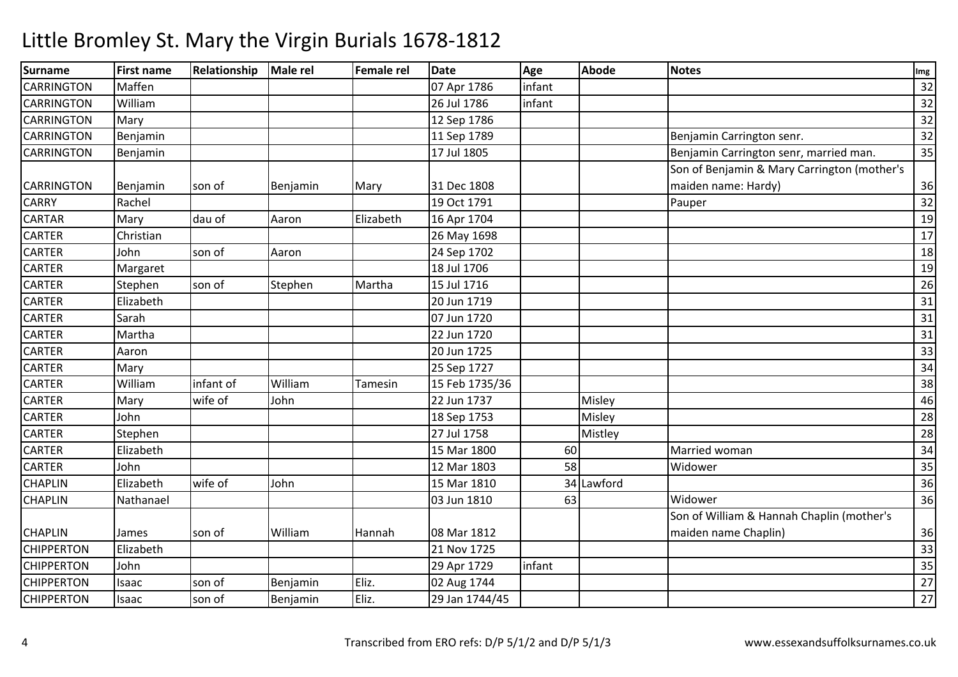| <b>Surname</b>    | <b>First name</b> | Relationship | <b>Male rel</b> | Female rel | <b>Date</b>    | Age    | <b>Abode</b> | <b>Notes</b>                                | Img |
|-------------------|-------------------|--------------|-----------------|------------|----------------|--------|--------------|---------------------------------------------|-----|
| <b>CARRINGTON</b> | Maffen            |              |                 |            | 07 Apr 1786    | infant |              |                                             | 32  |
| <b>CARRINGTON</b> | William           |              |                 |            | 26 Jul 1786    | infant |              |                                             | 32  |
| <b>CARRINGTON</b> | Mary              |              |                 |            | 12 Sep 1786    |        |              |                                             | 32  |
| <b>CARRINGTON</b> | Benjamin          |              |                 |            | 11 Sep 1789    |        |              | Benjamin Carrington senr.                   | 32  |
| <b>CARRINGTON</b> | Benjamin          |              |                 |            | 17 Jul 1805    |        |              | Benjamin Carrington senr, married man.      | 35  |
|                   |                   |              |                 |            |                |        |              | Son of Benjamin & Mary Carrington (mother's |     |
| <b>CARRINGTON</b> | Benjamin          | son of       | Benjamin        | Mary       | 31 Dec 1808    |        |              | maiden name: Hardy)                         | 36  |
| <b>CARRY</b>      | Rachel            |              |                 |            | 19 Oct 1791    |        |              | Pauper                                      | 32  |
| <b>CARTAR</b>     | Mary              | dau of       | Aaron           | Elizabeth  | 16 Apr 1704    |        |              |                                             | 19  |
| <b>CARTER</b>     | Christian         |              |                 |            | 26 May 1698    |        |              |                                             | 17  |
| <b>CARTER</b>     | John              | son of       | Aaron           |            | 24 Sep 1702    |        |              |                                             | 18  |
| <b>CARTER</b>     | Margaret          |              |                 |            | 18 Jul 1706    |        |              |                                             | 19  |
| <b>CARTER</b>     | Stephen           | son of       | Stephen         | Martha     | 15 Jul 1716    |        |              |                                             | 26  |
| <b>CARTER</b>     | Elizabeth         |              |                 |            | 20 Jun 1719    |        |              |                                             | 31  |
| <b>CARTER</b>     | Sarah             |              |                 |            | 07 Jun 1720    |        |              |                                             | 31  |
| <b>CARTER</b>     | Martha            |              |                 |            | 22 Jun 1720    |        |              |                                             | 31  |
| <b>CARTER</b>     | Aaron             |              |                 |            | 20 Jun 1725    |        |              |                                             | 33  |
| <b>CARTER</b>     | Mary              |              |                 |            | 25 Sep 1727    |        |              |                                             | 34  |
| <b>CARTER</b>     | William           | infant of    | William         | Tamesin    | 15 Feb 1735/36 |        |              |                                             | 38  |
| <b>CARTER</b>     | Mary              | wife of      | John            |            | 22 Jun 1737    |        | Misley       |                                             | 46  |
| <b>CARTER</b>     | John              |              |                 |            | 18 Sep 1753    |        | Misley       |                                             | 28  |
| <b>CARTER</b>     | Stephen           |              |                 |            | 27 Jul 1758    |        | Mistley      |                                             | 28  |
| <b>CARTER</b>     | Elizabeth         |              |                 |            | 15 Mar 1800    | 60     |              | Married woman                               | 34  |
| <b>CARTER</b>     | John              |              |                 |            | 12 Mar 1803    | 58     |              | Widower                                     | 35  |
| <b>CHAPLIN</b>    | Elizabeth         | wife of      | John            |            | 15 Mar 1810    |        | 34 Lawford   |                                             | 36  |
| <b>CHAPLIN</b>    | Nathanael         |              |                 |            | 03 Jun 1810    | 63     |              | Widower                                     | 36  |
|                   |                   |              |                 |            |                |        |              | Son of William & Hannah Chaplin (mother's   |     |
| <b>CHAPLIN</b>    | James             | son of       | William         | Hannah     | 08 Mar 1812    |        |              | maiden name Chaplin)                        | 36  |
| <b>CHIPPERTON</b> | Elizabeth         |              |                 |            | 21 Nov 1725    |        |              |                                             | 33  |
| <b>CHIPPERTON</b> | John              |              |                 |            | 29 Apr 1729    | infant |              |                                             | 35  |
| <b>CHIPPERTON</b> | Isaac             | son of       | Benjamin        | Eliz.      | 02 Aug 1744    |        |              |                                             | 27  |
| <b>CHIPPERTON</b> | Isaac             | son of       | Benjamin        | Eliz.      | 29 Jan 1744/45 |        |              |                                             | 27  |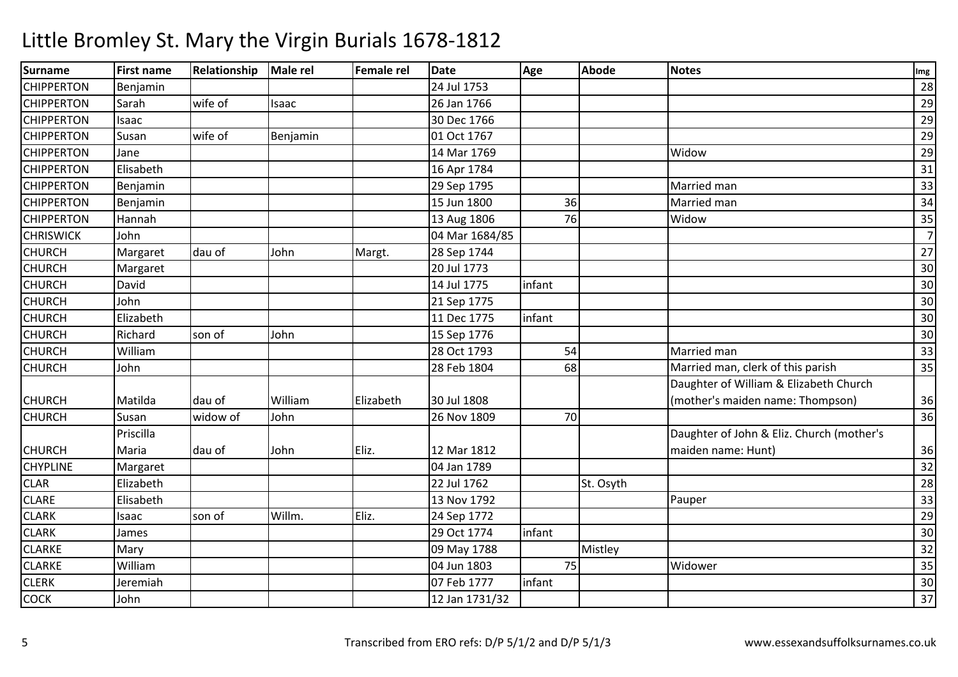| <b>Surname</b>    | <b>First name</b> | Relationship | Male rel | Female rel | <b>Date</b>    | Age    | <b>Abode</b> | <b>Notes</b>                              | Img            |
|-------------------|-------------------|--------------|----------|------------|----------------|--------|--------------|-------------------------------------------|----------------|
| <b>CHIPPERTON</b> | Benjamin          |              |          |            | 24 Jul 1753    |        |              |                                           | 28             |
| <b>CHIPPERTON</b> | Sarah             | wife of      | Isaac    |            | 26 Jan 1766    |        |              |                                           | 29             |
| <b>CHIPPERTON</b> | Isaac             |              |          |            | 30 Dec 1766    |        |              |                                           | 29             |
| <b>CHIPPERTON</b> | Susan             | wife of      | Benjamin |            | 01 Oct 1767    |        |              |                                           | 29             |
| <b>CHIPPERTON</b> | Jane              |              |          |            | 14 Mar 1769    |        |              | Widow                                     | 29             |
| <b>CHIPPERTON</b> | Elisabeth         |              |          |            | 16 Apr 1784    |        |              |                                           | 31             |
| <b>CHIPPERTON</b> | Benjamin          |              |          |            | 29 Sep 1795    |        |              | Married man                               | 33             |
| <b>CHIPPERTON</b> | Benjamin          |              |          |            | 15 Jun 1800    | 36     |              | Married man                               | 34             |
| <b>CHIPPERTON</b> | Hannah            |              |          |            | 13 Aug 1806    | 76     |              | Widow                                     | 35             |
| <b>CHRISWICK</b>  | John              |              |          |            | 04 Mar 1684/85 |        |              |                                           | $\overline{7}$ |
| <b>CHURCH</b>     | Margaret          | dau of       | John     | Margt.     | 28 Sep 1744    |        |              |                                           | 27             |
| <b>CHURCH</b>     | Margaret          |              |          |            | 20 Jul 1773    |        |              |                                           | 30             |
| <b>CHURCH</b>     | David             |              |          |            | 14 Jul 1775    | infant |              |                                           | 30             |
| <b>CHURCH</b>     | John              |              |          |            | 21 Sep 1775    |        |              |                                           | 30             |
| <b>CHURCH</b>     | Elizabeth         |              |          |            | 11 Dec 1775    | infant |              |                                           | 30             |
| <b>CHURCH</b>     | Richard           | son of       | John     |            | 15 Sep 1776    |        |              |                                           | 30             |
| <b>CHURCH</b>     | William           |              |          |            | 28 Oct 1793    | 54     |              | Married man                               | 33             |
| <b>CHURCH</b>     | John              |              |          |            | 28 Feb 1804    | 68     |              | Married man, clerk of this parish         | 35             |
|                   |                   |              |          |            |                |        |              | Daughter of William & Elizabeth Church    |                |
| <b>CHURCH</b>     | Matilda           | dau of       | William  | Elizabeth  | 30 Jul 1808    |        |              | (mother's maiden name: Thompson)          | 36             |
| <b>CHURCH</b>     | Susan             | widow of     | John     |            | 26 Nov 1809    | 70     |              |                                           | 36             |
|                   | Priscilla         |              |          |            |                |        |              | Daughter of John & Eliz. Church (mother's |                |
| <b>CHURCH</b>     | Maria             | dau of       | John     | Eliz.      | 12 Mar 1812    |        |              | maiden name: Hunt)                        | 36             |
| <b>CHYPLINE</b>   | Margaret          |              |          |            | 04 Jan 1789    |        |              |                                           | 32             |
| <b>CLAR</b>       | Elizabeth         |              |          |            | 22 Jul 1762    |        | St. Osyth    |                                           | 28             |
| <b>CLARE</b>      | Elisabeth         |              |          |            | 13 Nov 1792    |        |              | Pauper                                    | 33             |
| <b>CLARK</b>      | Isaac             | son of       | Willm.   | Eliz.      | 24 Sep 1772    |        |              |                                           | 29             |
| <b>CLARK</b>      | James             |              |          |            | 29 Oct 1774    | infant |              |                                           | 30             |
| <b>CLARKE</b>     | Mary              |              |          |            | 09 May 1788    |        | Mistley      |                                           | 32             |
| <b>CLARKE</b>     | William           |              |          |            | 04 Jun 1803    | 75     |              | Widower                                   | 35             |
| <b>CLERK</b>      | Jeremiah          |              |          |            | 07 Feb 1777    | infant |              |                                           | 30             |
| <b>COCK</b>       | John              |              |          |            | 12 Jan 1731/32 |        |              |                                           | 37             |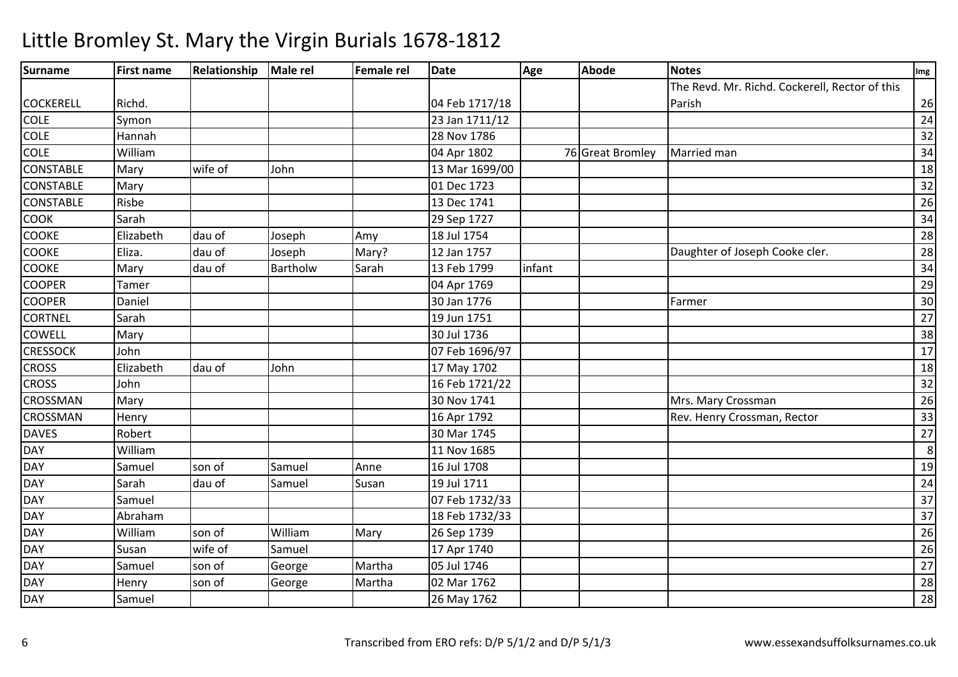#### **Surname First name Relationship Male rel Female rel Date Age Abode Notes Img** COCKERELL Richd. 04 Feb 1717/1823 Jan 1711/12 The Revd. Mr. Richd. Cockerell, Rector of this Parishh 26 COLE Symon 23 Jan 1711/12 <sup>24</sup> COLE Hannah 28 Nov 1786 <sup>32</sup> COLE William 04 Apr 1802 <sup>76</sup> Great Bromley Married man <sup>34</sup> **CONSTABLE**  Mary wife of John 13 Mar 1699/00 <sup>18</sup> CONSTABLE Mary 01 Dec 1723 $\overline{3}$   $\overline{)$   $\overline{)$   $\overline{32}}$ **CONSTABLE**  Risbe 13 Dec 1741 $\frac{1}{26}$ COOK Sarah 29 Sep 1727 <sup>34</sup> **COOKE** Elizabeth<br>Eliza. dau of Joseph Amy 18 Jul 1754 <sup>28</sup> **COOKE** Eliza. Mau of Joseph Joseph Bliza. And Joseph Joseph Joseph Joseph Joseph Joseph Joseph Joseph Joseph Joseph Joseph Joseph Joseph Joseph Joseph Joseph Joseph Joseph Joseph Joseph Joseph Joseph Joseph Joseph Joseph Joseph J Provided Mary? 12 Jan 1757 12 Jan 1757 12 Jan 1757 12 Daughter of Joseph Cooke cler.<br>Bartholw Sarah 13 Feb 1799 1nfant **COOKE** Mary dau of Bartholw Sarah 13 Feb 1799 infant <sup>34</sup> **COOPER** R Tamer 29 **COOPER** R Daniel 130 Jan 1776 Farmer 30 Jan 1776 September 30 Jan 1776 September 30 Jan 1776 September 30 Jan 1776 September 30 Jan 1776 September 30 Jan 1776 September 30 Jan 1776 September 30 Jan 1776 September 30 Jan 1776 Septe **CORTNEL**  Sarah 19 Jun 1751 <sup>27</sup> **COWELL**  Maryy 30 Jul 1736 6 38 **CRESSOCK**  John 07 Feb 1696/97 <sup>17</sup> **CROSS**  Elizabethh |dau of |John |17 May 1702 | 18 **CROSS** John<br>Mary 16 Feb 1721/22 <sup>32</sup> CROSSMANN Mary 26 CROSSMANN Henry Rev. Henry Rev. Henry Crossman, Rector 33 DAVESS Robert Robert 1, 20 Mar 1745 5 27 DAYWilliam<br>Samuel m 11 Nov 1685 8 $\overline{19}$ **DAY** Y Samuel Son of Samuel Anne Anne 16 Jul 1708 8 | 19 DAY Sarah dau of Samuel Susan 19 Jul 1711 <sup>24</sup> DAY Samuel 07 Feb 1732/33 $\overline{3}$   $\overline{37}$   $\overline{37}$ DAY Abrahamm 2008 18 Feb 1732/33 2009 18 Feb 1732/33 2009 18 Feb 1732/33 2009 18:00 18:00 18:00 18:00 18:00 18:00 18:00 1<br>2008 19:00 19:00 19:00 19:00 19:00 19:00 19:00 19:00 19:00 19:00 19:00 19:00 19:00 19:00 19:00 19:00 19:00 19: DAY William son of William Mary 26 Sep 1739 <sup>26</sup> DAY Susann wife of Samuel 17 Apr 1740 | 26 DAYSamuel | son of | George Martha 05 Jul 17466 27 DAYHenry Son of George Martha 02 Mar 1762<br>26 May 1762 2 | 28 DAY**Present Community Community Samuel Community Community Community Community Community Community Community Community** <sup>28</sup>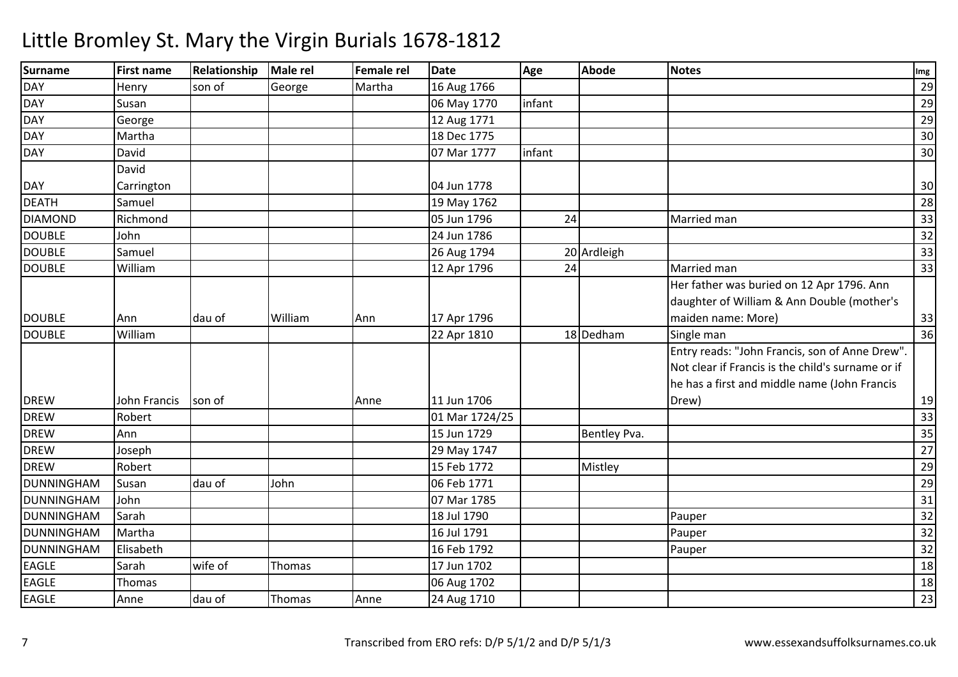| <b>Surname</b> | <b>First name</b> | <b>Relationship</b> | <b>Male rel</b> | Female rel | <b>Date</b>    | Age    | <b>Abode</b> | <b>Notes</b>                                      | Img |
|----------------|-------------------|---------------------|-----------------|------------|----------------|--------|--------------|---------------------------------------------------|-----|
| DAY            | Henry             | son of              | George          | Martha     | 16 Aug 1766    |        |              |                                                   | 29  |
| <b>DAY</b>     | Susan             |                     |                 |            | 06 May 1770    | infant |              |                                                   | 29  |
| <b>DAY</b>     | George            |                     |                 |            | 12 Aug 1771    |        |              |                                                   | 29  |
| <b>DAY</b>     | Martha            |                     |                 |            | 18 Dec 1775    |        |              |                                                   | 30  |
| DAY            | David             |                     |                 |            | 07 Mar 1777    | infant |              |                                                   | 30  |
|                | David             |                     |                 |            |                |        |              |                                                   |     |
| <b>DAY</b>     | Carrington        |                     |                 |            | 04 Jun 1778    |        |              |                                                   | 30  |
| <b>DEATH</b>   | Samuel            |                     |                 |            | 19 May 1762    |        |              |                                                   | 28  |
| <b>DIAMOND</b> | Richmond          |                     |                 |            | 05 Jun 1796    | 24     |              | Married man                                       | 33  |
| <b>DOUBLE</b>  | John              |                     |                 |            | 24 Jun 1786    |        |              |                                                   | 32  |
| <b>DOUBLE</b>  | Samuel            |                     |                 |            | 26 Aug 1794    |        | 20 Ardleigh  |                                                   | 33  |
| <b>DOUBLE</b>  | William           |                     |                 |            | 12 Apr 1796    | 24     |              | Married man                                       | 33  |
|                |                   |                     |                 |            |                |        |              | Her father was buried on 12 Apr 1796. Ann         |     |
|                |                   |                     |                 |            |                |        |              | daughter of William & Ann Double (mother's        |     |
| <b>DOUBLE</b>  | Ann               | dau of              | William         | Ann        | 17 Apr 1796    |        |              | maiden name: More)                                | 33  |
| <b>DOUBLE</b>  | William           |                     |                 |            | 22 Apr 1810    |        | 18 Dedham    | Single man                                        | 36  |
|                |                   |                     |                 |            |                |        |              | Entry reads: "John Francis, son of Anne Drew".    |     |
|                |                   |                     |                 |            |                |        |              | Not clear if Francis is the child's surname or if |     |
|                |                   |                     |                 |            |                |        |              | he has a first and middle name (John Francis      |     |
| <b>DREW</b>    | John Francis      | son of              |                 | Anne       | 11 Jun 1706    |        |              | Drew)                                             | 19  |
| <b>DREW</b>    | Robert            |                     |                 |            | 01 Mar 1724/25 |        |              |                                                   | 33  |
| <b>DREW</b>    | Ann               |                     |                 |            | 15 Jun 1729    |        | Bentley Pva. |                                                   | 35  |
| <b>DREW</b>    | Joseph            |                     |                 |            | 29 May 1747    |        |              |                                                   | 27  |
| <b>DREW</b>    | Robert            |                     |                 |            | 15 Feb 1772    |        | Mistley      |                                                   | 29  |
| DUNNINGHAM     | Susan             | dau of              | John            |            | 06 Feb 1771    |        |              |                                                   | 29  |
| DUNNINGHAM     | John              |                     |                 |            | 07 Mar 1785    |        |              |                                                   | 31  |
| DUNNINGHAM     | Sarah             |                     |                 |            | 18 Jul 1790    |        |              | Pauper                                            | 32  |
| DUNNINGHAM     | Martha            |                     |                 |            | 16 Jul 1791    |        |              | Pauper                                            | 32  |
| DUNNINGHAM     | Elisabeth         |                     |                 |            | 16 Feb 1792    |        |              | Pauper                                            | 32  |
| <b>EAGLE</b>   | Sarah             | wife of             | Thomas          |            | 17 Jun 1702    |        |              |                                                   | 18  |
| <b>EAGLE</b>   | Thomas            |                     |                 |            | 06 Aug 1702    |        |              |                                                   | 18  |
| <b>EAGLE</b>   | Anne              | dau of              | Thomas          | Anne       | 24 Aug 1710    |        |              |                                                   | 23  |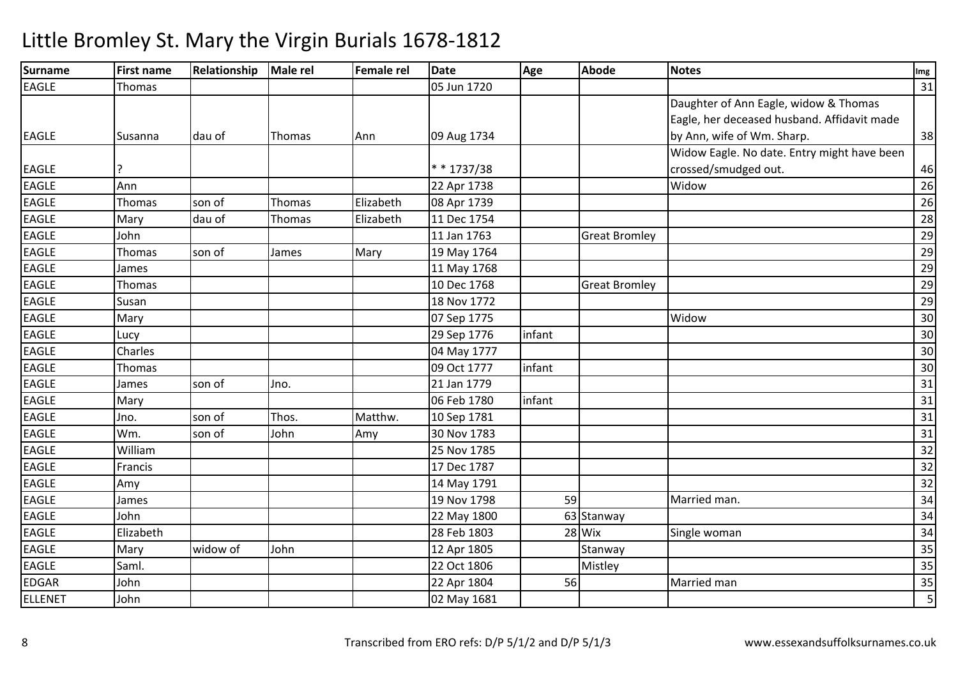#### **Surname First name Relationship Male rel Female rel Date Age Abode Notes Img** EAGLEE Thomas 1 1720  $\overline{0}$  31 EAGLE Susanna dau of Thomas Ann 109 Aug 1734 Daughter of Ann Eagle, widow & Thomas Eagle, her deceased husband. Affidavit made by Ann, wife of Wm. Sharp. 38EAGLE ? \* \* 1737/3822 Apr 1738 Widow Eagle. No date. Entry might have been crossed/smudged out. 46 $\overline{26}$ EAGLEAnn<br>Thomas 22 Apr 1738 Widoww 26 EAGLEE Thomas son of Thomas Elizabeth 08 Apr 1739 <sup>26</sup> EAGLEE Mary dau of Thomas Elizabeth 11 Dec 1754 <sup>28</sup> EAGLEJohn<br>Thomas 11 Jan 1763 Great Bromley <sup>29</sup> EAGLEE Thomas son of James Mary 19 May 1764 <u>29</u> EAGLEE James 11 May 1768 8 | 29 EAGLEE Thomas 10 Dec 1768 10 Dec 1768 Great Bromley 29<br>18 Nov 1772 29 EAGLE**Susan**  18 Nov 1772 <sup>29</sup> EAGLEE Mary Mary 1775 5 Widow Widow w 30 EAGLEE Lucy 29 Sep 1776 6 |infant | 30 EAGLE| Charles | Charles | Charles | Charles | Charles | Charles | Charles | Charles | Charles | Charles | Charles | Charles | Charles | Charles | Charles | Charles | Charles | Charles | Charles | Charles | Charles | Charles | <sup>30</sup> EAGLEE Thomas 1 1777 7 | infant | 2009 | 2009 | 2009 | 2009 | 2009 | 2009 | 2009 | 2009 | 2009 | 2009 | 2009 | 2009 | 2009 | 2009 | EAGLEE James Son of Jno. 21 Jan 1779 <sup>31</sup> EAGLE Mary 06 Feb 17800 |infant | 31 EAGLEE Jno. Son of Thos. Matthw. 10 Sep 1781 1 31 EAGLEE Wm. son of John Amy 30 Nov 1783 <sup>31</sup> EAGLEWilliam<br>Francis 25 Nov 1785 <sup>32</sup> EAGLEE Francis Providence Providence Providence Providence Providence Providence Providence Providence Providence P <sup>32</sup> EAGLEE Amy Amy 1791 <u>1 | 32</u> EAGLEE James 19 Nov 1798 8 1 59 Married man. 25 34 EAGLE John 22 May 1800 <sup>63</sup> Stanway <sup>34</sup> EAGLE Elizabeth 28 Feb 1803 <sup>28</sup> Wix Single woman <sup>34</sup> EAGLE Mary widow of Johnn 12 Apr 1805 Stanway 2014 Standard Standard Standard Standard Standard Standard Standard Standard Standard St EAGLEE Saml. 22 Oct 1806 6 Mistley Mistley 135 EDGARR John 1988 1989 122 Apr 1804 56 Married man 35 ELLENET John02 May 1681 <sup>5</sup>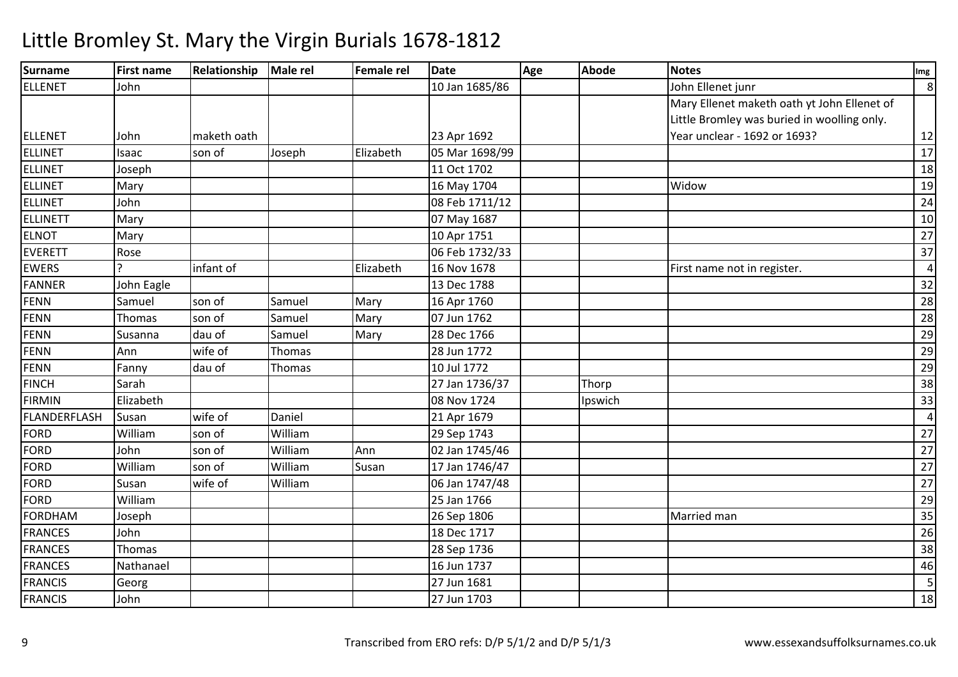| <b>Surname</b>  | <b>First name</b> | Relationship | Male rel | <b>Female rel</b> | <b>Date</b>    | Age | <b>Abode</b> | <b>Notes</b>                                | Img            |
|-----------------|-------------------|--------------|----------|-------------------|----------------|-----|--------------|---------------------------------------------|----------------|
| <b>ELLENET</b>  | John              |              |          |                   | 10 Jan 1685/86 |     |              | John Ellenet junr                           | 8              |
|                 |                   |              |          |                   |                |     |              | Mary Ellenet maketh oath yt John Ellenet of |                |
|                 |                   |              |          |                   |                |     |              | Little Bromley was buried in woolling only. |                |
| ELLENET         | John              | maketh oath  |          |                   | 23 Apr 1692    |     |              | Year unclear - 1692 or 1693?                | 12             |
| <b>ELLINET</b>  | Isaac             | son of       | Joseph   | Elizabeth         | 05 Mar 1698/99 |     |              |                                             | 17             |
| <b>ELLINET</b>  | Joseph            |              |          |                   | 11 Oct 1702    |     |              |                                             | 18             |
| <b>ELLINET</b>  | Mary              |              |          |                   | 16 May 1704    |     |              | Widow                                       | 19             |
| <b>ELLINET</b>  | John              |              |          |                   | 08 Feb 1711/12 |     |              |                                             | 24             |
| <b>ELLINETT</b> | Mary              |              |          |                   | 07 May 1687    |     |              |                                             | 10             |
| <b>ELNOT</b>    | Mary              |              |          |                   | 10 Apr 1751    |     |              |                                             | 27             |
| <b>EVERETT</b>  | Rose              |              |          |                   | 06 Feb 1732/33 |     |              |                                             | 37             |
| <b>EWERS</b>    |                   | infant of    |          | Elizabeth         | 16 Nov 1678    |     |              | First name not in register.                 | $\overline{4}$ |
| <b>FANNER</b>   | John Eagle        |              |          |                   | 13 Dec 1788    |     |              |                                             | 32             |
| <b>FENN</b>     | Samuel            | son of       | Samuel   | Mary              | 16 Apr 1760    |     |              |                                             | 28             |
| <b>FENN</b>     | Thomas            | son of       | Samuel   | Mary              | 07 Jun 1762    |     |              |                                             | 28             |
| <b>FENN</b>     | Susanna           | dau of       | Samuel   | Mary              | 28 Dec 1766    |     |              |                                             | 29             |
| <b>FENN</b>     | Ann               | wife of      | Thomas   |                   | 28 Jun 1772    |     |              |                                             | 29             |
| <b>FENN</b>     | Fanny             | dau of       | Thomas   |                   | 10 Jul 1772    |     |              |                                             | 29             |
| <b>FINCH</b>    | Sarah             |              |          |                   | 27 Jan 1736/37 |     | Thorp        |                                             | 38             |
| <b>FIRMIN</b>   | Elizabeth         |              |          |                   | 08 Nov 1724    |     | Ipswich      |                                             | 33             |
| FLANDERFLASH    | Susan             | wife of      | Daniel   |                   | 21 Apr 1679    |     |              |                                             | 4              |
| <b>FORD</b>     | William           | son of       | William  |                   | 29 Sep 1743    |     |              |                                             | 27             |
| <b>FORD</b>     | John              | son of       | William  | Ann               | 02 Jan 1745/46 |     |              |                                             | 27             |
| <b>FORD</b>     | William           | son of       | William  | Susan             | 17 Jan 1746/47 |     |              |                                             | 27             |
| <b>FORD</b>     | Susan             | wife of      | William  |                   | 06 Jan 1747/48 |     |              |                                             | 27             |
| <b>FORD</b>     | William           |              |          |                   | 25 Jan 1766    |     |              |                                             | 29             |
| <b>FORDHAM</b>  | Joseph            |              |          |                   | 26 Sep 1806    |     |              | Married man                                 | 35             |
| <b>FRANCES</b>  | John              |              |          |                   | 18 Dec 1717    |     |              |                                             | 26             |
| <b>FRANCES</b>  | Thomas            |              |          |                   | 28 Sep 1736    |     |              |                                             | 38             |
| <b>FRANCES</b>  | Nathanael         |              |          |                   | 16 Jun 1737    |     |              |                                             | 46             |
| <b>FRANCIS</b>  | Georg             |              |          |                   | 27 Jun 1681    |     |              |                                             | 5              |
| <b>FRANCIS</b>  | John              |              |          |                   | 27 Jun 1703    |     |              |                                             | 18             |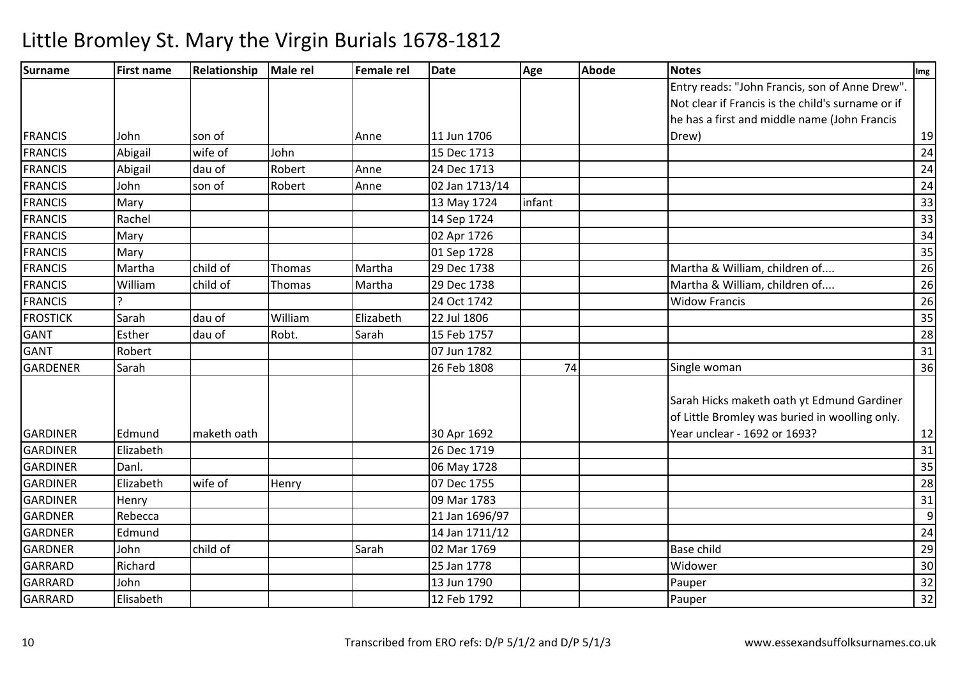| Surname         | <b>First name</b> | Relationship | Male rel      | Female rel | <b>Date</b>    | Age    | <b>Abode</b> | <b>Notes</b>                                      | Img             |
|-----------------|-------------------|--------------|---------------|------------|----------------|--------|--------------|---------------------------------------------------|-----------------|
|                 |                   |              |               |            |                |        |              | Entry reads: "John Francis, son of Anne Drew".    |                 |
|                 |                   |              |               |            |                |        |              | Not clear if Francis is the child's surname or if |                 |
|                 |                   |              |               |            |                |        |              | he has a first and middle name (John Francis      |                 |
| <b>FRANCIS</b>  | John              | son of       |               | Anne       | 11 Jun 1706    |        |              | Drew)                                             | 19              |
| <b>FRANCIS</b>  | Abigail           | wife of      | John          |            | 15 Dec 1713    |        |              |                                                   | 24              |
| <b>FRANCIS</b>  | Abigail           | dau of       | Robert        | Anne       | 24 Dec 1713    |        |              |                                                   | 24              |
| <b>FRANCIS</b>  | John              | son of       | Robert        | Anne       | 02 Jan 1713/14 |        |              |                                                   | 24              |
| <b>FRANCIS</b>  | Mary              |              |               |            | 13 May 1724    | infant |              |                                                   | 33              |
| <b>FRANCIS</b>  | Rachel            |              |               |            | 14 Sep 1724    |        |              |                                                   | 33              |
| <b>FRANCIS</b>  | Mary              |              |               |            | 02 Apr 1726    |        |              |                                                   | 34              |
| <b>FRANCIS</b>  | Mary              |              |               |            | 01 Sep 1728    |        |              |                                                   | 35              |
| <b>FRANCIS</b>  | Martha            | child of     | <b>Thomas</b> | Martha     | 29 Dec 1738    |        |              | Martha & William, children of                     | $\overline{26}$ |
| <b>FRANCIS</b>  | William           | child of     | Thomas        | Martha     | 29 Dec 1738    |        |              | Martha & William, children of                     | 26              |
| <b>FRANCIS</b>  |                   |              |               |            | 24 Oct 1742    |        |              | <b>Widow Francis</b>                              | 26              |
| <b>FROSTICK</b> | Sarah             | dau of       | William       | Elizabeth  | 22 Jul 1806    |        |              |                                                   | $\overline{35}$ |
| <b>GANT</b>     | Esther            | dau of       | Robt.         | Sarah      | 15 Feb 1757    |        |              |                                                   | 28              |
| <b>GANT</b>     | Robert            |              |               |            | 07 Jun 1782    |        |              |                                                   | 31              |
| <b>GARDENER</b> | Sarah             |              |               |            | 26 Feb 1808    | 74     |              | Single woman                                      | 36              |
|                 |                   |              |               |            |                |        |              | Sarah Hicks maketh oath yt Edmund Gardiner        |                 |
|                 |                   |              |               |            |                |        |              | of Little Bromley was buried in woolling only.    |                 |
| <b>GARDINER</b> | Edmund            | maketh oath  |               |            | 30 Apr 1692    |        |              | Year unclear - 1692 or 1693?                      | 12              |
| <b>GARDINER</b> | Elizabeth         |              |               |            | 26 Dec 1719    |        |              |                                                   | 31              |
| <b>GARDINER</b> | Danl.             |              |               |            | 06 May 1728    |        |              |                                                   | 35              |
| <b>GARDINER</b> | Elizabeth         | wife of      | Henry         |            | 07 Dec 1755    |        |              |                                                   | 28              |
| <b>GARDINER</b> | Henry             |              |               |            | 09 Mar 1783    |        |              |                                                   | 31              |
| <b>GARDNER</b>  | Rebecca           |              |               |            | 21 Jan 1696/97 |        |              |                                                   | 9               |
| <b>GARDNER</b>  | Edmund            |              |               |            | 14 Jan 1711/12 |        |              |                                                   | 24              |
| <b>GARDNER</b>  | John              | child of     |               | Sarah      | 02 Mar 1769    |        |              | <b>Base child</b>                                 | 29              |
| GARRARD         | Richard           |              |               |            | 25 Jan 1778    |        |              | Widower                                           | 30              |
| <b>GARRARD</b>  | John              |              |               |            | 13 Jun 1790    |        |              | Pauper                                            | 32              |
| GARRARD         | Elisabeth         |              |               |            | 12 Feb 1792    |        |              | Pauper                                            | 32              |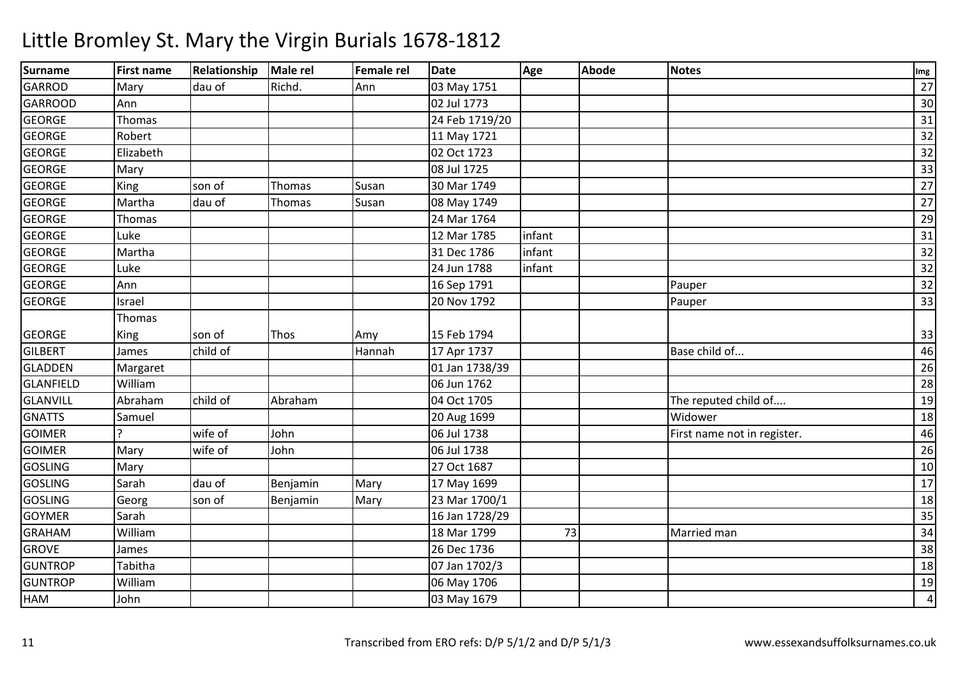| <b>Surname</b>   | First name | Relationship | <b>Male rel</b> | <b>Female rel</b> | <b>Date</b>    | Age    | <b>Abode</b> | <b>Notes</b>                | Img             |
|------------------|------------|--------------|-----------------|-------------------|----------------|--------|--------------|-----------------------------|-----------------|
| <b>GARROD</b>    | Mary       | dau of       | Richd.          | Ann               | 03 May 1751    |        |              |                             | 27              |
| <b>GARROOD</b>   | Ann        |              |                 |                   | 02 Jul 1773    |        |              |                             | 30              |
| <b>GEORGE</b>    | Thomas     |              |                 |                   | 24 Feb 1719/20 |        |              |                             | 31              |
| <b>GEORGE</b>    | Robert     |              |                 |                   | 11 May 1721    |        |              |                             | 32              |
| <b>GEORGE</b>    | Elizabeth  |              |                 |                   | 02 Oct 1723    |        |              |                             | 32              |
| <b>GEORGE</b>    | Mary       |              |                 |                   | 08 Jul 1725    |        |              |                             | 33              |
| <b>GEORGE</b>    | King       | son of       | Thomas          | Susan             | 30 Mar 1749    |        |              |                             | 27              |
| <b>GEORGE</b>    | Martha     | dau of       | <b>Thomas</b>   | Susan             | 08 May 1749    |        |              |                             | $\overline{27}$ |
| <b>GEORGE</b>    | Thomas     |              |                 |                   | 24 Mar 1764    |        |              |                             | 29              |
| <b>GEORGE</b>    | Luke       |              |                 |                   | 12 Mar 1785    | infant |              |                             | 31              |
| <b>GEORGE</b>    | Martha     |              |                 |                   | 31 Dec 1786    | infant |              |                             | $\overline{32}$ |
| <b>GEORGE</b>    | Luke       |              |                 |                   | 24 Jun 1788    | infant |              |                             | $\overline{32}$ |
| <b>GEORGE</b>    | Ann        |              |                 |                   | 16 Sep 1791    |        |              | Pauper                      | 32              |
| <b>GEORGE</b>    | Israel     |              |                 |                   | 20 Nov 1792    |        |              | Pauper                      | 33              |
|                  | Thomas     |              |                 |                   |                |        |              |                             |                 |
| <b>GEORGE</b>    | King       | son of       | Thos            | Amy               | 15 Feb 1794    |        |              |                             | 33              |
| <b>GILBERT</b>   | James      | child of     |                 | Hannah            | 17 Apr 1737    |        |              | Base child of               | 46              |
| <b>GLADDEN</b>   | Margaret   |              |                 |                   | 01 Jan 1738/39 |        |              |                             | 26              |
| <b>GLANFIELD</b> | William    |              |                 |                   | 06 Jun 1762    |        |              |                             | 28              |
| <b>GLANVILL</b>  | Abraham    | child of     | Abraham         |                   | 04 Oct 1705    |        |              | The reputed child of        | 19              |
| <b>GNATTS</b>    | Samuel     |              |                 |                   | 20 Aug 1699    |        |              | Widower                     | 18              |
| <b>GOIMER</b>    |            | wife of      | John            |                   | 06 Jul 1738    |        |              | First name not in register. | 46              |
| <b>GOIMER</b>    | Mary       | wife of      | John            |                   | 06 Jul 1738    |        |              |                             | 26              |
| <b>GOSLING</b>   | Mary       |              |                 |                   | 27 Oct 1687    |        |              |                             | 10              |
| <b>GOSLING</b>   | Sarah      | dau of       | Benjamin        | Mary              | 17 May 1699    |        |              |                             | 17              |
| <b>GOSLING</b>   | Georg      | son of       | Benjamin        | Mary              | 23 Mar 1700/1  |        |              |                             | 18              |
| <b>GOYMER</b>    | Sarah      |              |                 |                   | 16 Jan 1728/29 |        |              |                             | 35              |
| <b>GRAHAM</b>    | William    |              |                 |                   | 18 Mar 1799    | 73     |              | Married man                 | 34              |
| <b>GROVE</b>     | James      |              |                 |                   | 26 Dec 1736    |        |              |                             | 38              |
| <b>GUNTROP</b>   | Tabitha    |              |                 |                   | 07 Jan 1702/3  |        |              |                             | 18              |
| <b>GUNTROP</b>   | William    |              |                 |                   | 06 May 1706    |        |              |                             | 19              |
| HAM              | John       |              |                 |                   | 03 May 1679    |        |              |                             | $\overline{4}$  |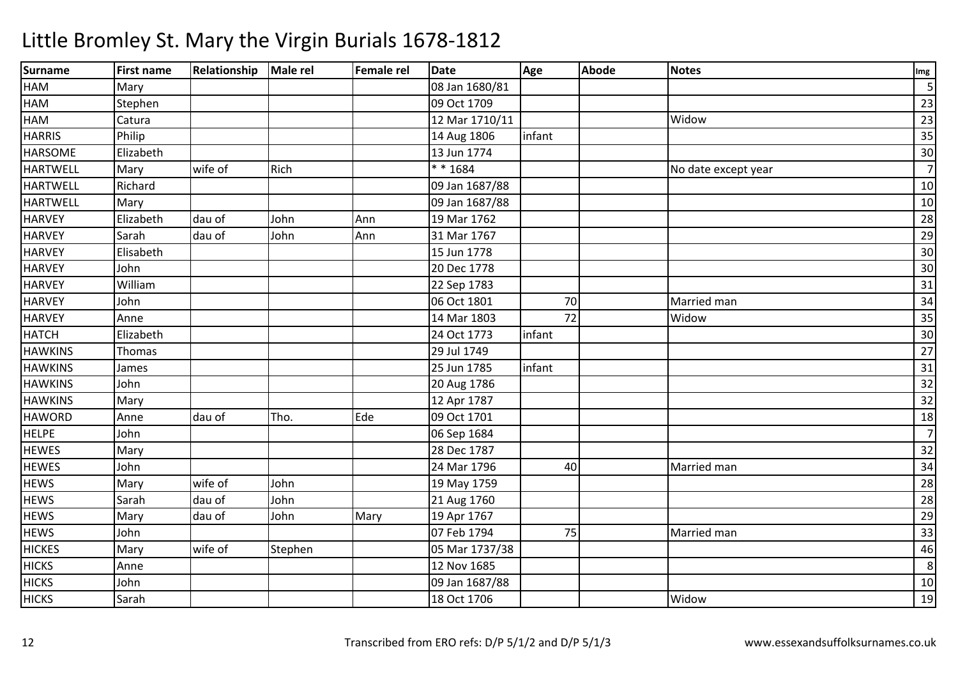| <b>Surname</b>  | <b>First name</b> | Relationship | Male rel | <b>Female rel</b> | <b>Date</b>    | Age    | <b>Abode</b> | <b>Notes</b>        | Img             |
|-----------------|-------------------|--------------|----------|-------------------|----------------|--------|--------------|---------------------|-----------------|
| HAM             | Mary              |              |          |                   | 08 Jan 1680/81 |        |              |                     |                 |
| HAM             | Stephen           |              |          |                   | 09 Oct 1709    |        |              |                     | 23              |
| HAM             | Catura            |              |          |                   | 12 Mar 1710/11 |        |              | Widow               | 23              |
| <b>HARRIS</b>   | Philip            |              |          |                   | 14 Aug 1806    | infant |              |                     | 35              |
| <b>HARSOME</b>  | Elizabeth         |              |          |                   | 13 Jun 1774    |        |              |                     | 30              |
| <b>HARTWELL</b> | Mary              | wife of      | Rich     |                   | * * 1684       |        |              | No date except year | $\overline{7}$  |
| <b>HARTWELL</b> | Richard           |              |          |                   | 09 Jan 1687/88 |        |              |                     | $10\,$          |
| <b>HARTWELL</b> | Mary              |              |          |                   | 09 Jan 1687/88 |        |              |                     | 10              |
| <b>HARVEY</b>   | Elizabeth         | dau of       | John     | Ann               | 19 Mar 1762    |        |              |                     | 28              |
| <b>HARVEY</b>   | Sarah             | dau of       | John     | Ann               | 31 Mar 1767    |        |              |                     | 29              |
| <b>HARVEY</b>   | Elisabeth         |              |          |                   | 15 Jun 1778    |        |              |                     | 30              |
| <b>HARVEY</b>   | John              |              |          |                   | 20 Dec 1778    |        |              |                     | 30              |
| <b>HARVEY</b>   | William           |              |          |                   | 22 Sep 1783    |        |              |                     | 31              |
| <b>HARVEY</b>   | John              |              |          |                   | 06 Oct 1801    | 70     |              | Married man         | 34              |
| <b>HARVEY</b>   | Anne              |              |          |                   | 14 Mar 1803    | 72     |              | Widow               | 35              |
| <b>HATCH</b>    | Elizabeth         |              |          |                   | 24 Oct 1773    | infant |              |                     | 30              |
| <b>HAWKINS</b>  | Thomas            |              |          |                   | 29 Jul 1749    |        |              |                     | 27              |
| <b>HAWKINS</b>  | James             |              |          |                   | 25 Jun 1785    | infant |              |                     | 31              |
| <b>HAWKINS</b>  | John              |              |          |                   | 20 Aug 1786    |        |              |                     | 32              |
| <b>HAWKINS</b>  | Mary              |              |          |                   | 12 Apr 1787    |        |              |                     | $\overline{32}$ |
| <b>HAWORD</b>   | Anne              | dau of       | Tho.     | Ede               | 09 Oct 1701    |        |              |                     | 18              |
| <b>HELPE</b>    | John              |              |          |                   | 06 Sep 1684    |        |              |                     | $\overline{7}$  |
| <b>HEWES</b>    | Mary              |              |          |                   | 28 Dec 1787    |        |              |                     | 32              |
| <b>HEWES</b>    | John              |              |          |                   | 24 Mar 1796    | 40     |              | Married man         | 34              |
| <b>HEWS</b>     | Mary              | wife of      | John     |                   | 19 May 1759    |        |              |                     | 28              |
| <b>HEWS</b>     | Sarah             | dau of       | John     |                   | 21 Aug 1760    |        |              |                     | 28              |
| <b>HEWS</b>     | Mary              | dau of       | John     | Mary              | 19 Apr 1767    |        |              |                     | 29              |
| <b>HEWS</b>     | John              |              |          |                   | 07 Feb 1794    | 75     |              | Married man         | 33              |
| <b>HICKES</b>   | Mary              | wife of      | Stephen  |                   | 05 Mar 1737/38 |        |              |                     | 46              |
| <b>HICKS</b>    | Anne              |              |          |                   | 12 Nov 1685    |        |              |                     | 8               |
| <b>HICKS</b>    | John              |              |          |                   | 09 Jan 1687/88 |        |              |                     | 10              |
| <b>HICKS</b>    | Sarah             |              |          |                   | 18 Oct 1706    |        |              | Widow               | 19              |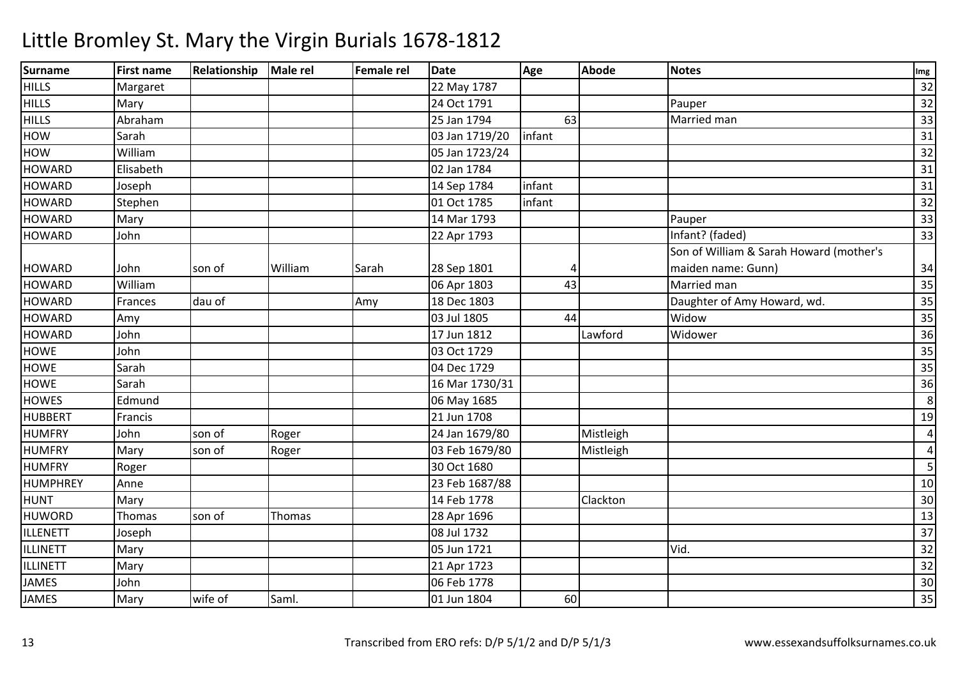| <b>Surname</b>  | <b>First name</b> | Relationship | Male rel | <b>Female rel</b> | <b>Date</b>    | Age    | <b>Abode</b> | <b>Notes</b>                            | Img             |
|-----------------|-------------------|--------------|----------|-------------------|----------------|--------|--------------|-----------------------------------------|-----------------|
| <b>HILLS</b>    | Margaret          |              |          |                   | 22 May 1787    |        |              |                                         | $\overline{32}$ |
| <b>HILLS</b>    | Mary              |              |          |                   | 24 Oct 1791    |        |              | Pauper                                  | $\overline{32}$ |
| <b>HILLS</b>    | Abraham           |              |          |                   | 25 Jan 1794    | 63     |              | Married man                             | 33              |
| HOW             | Sarah             |              |          |                   | 03 Jan 1719/20 | infant |              |                                         | 31              |
| HOW             | William           |              |          |                   | 05 Jan 1723/24 |        |              |                                         | 32              |
| <b>HOWARD</b>   | Elisabeth         |              |          |                   | 02 Jan 1784    |        |              |                                         | 31              |
| <b>HOWARD</b>   | Joseph            |              |          |                   | 14 Sep 1784    | infant |              |                                         | 31              |
| <b>HOWARD</b>   | Stephen           |              |          |                   | 01 Oct 1785    | infant |              |                                         | 32              |
| <b>HOWARD</b>   | Mary              |              |          |                   | 14 Mar 1793    |        |              | Pauper                                  | 33              |
| <b>HOWARD</b>   | John              |              |          |                   | 22 Apr 1793    |        |              | Infant? (faded)                         | 33              |
|                 |                   |              |          |                   |                |        |              | Son of William & Sarah Howard (mother's |                 |
| <b>HOWARD</b>   | John              | son of       | William  | Sarah             | 28 Sep 1801    | 4      |              | maiden name: Gunn)                      | 34              |
| <b>HOWARD</b>   | William           |              |          |                   | 06 Apr 1803    | 43     |              | Married man                             | 35              |
| <b>HOWARD</b>   | Frances           | dau of       |          | Amy               | 18 Dec 1803    |        |              | Daughter of Amy Howard, wd.             | 35              |
| <b>HOWARD</b>   | Amy               |              |          |                   | 03 Jul 1805    | 44     |              | Widow                                   | 35              |
| <b>HOWARD</b>   | John              |              |          |                   | 17 Jun 1812    |        | Lawford      | Widower                                 | 36              |
| <b>HOWE</b>     | John              |              |          |                   | 03 Oct 1729    |        |              |                                         | 35              |
| <b>HOWE</b>     | Sarah             |              |          |                   | 04 Dec 1729    |        |              |                                         | 35              |
| <b>HOWE</b>     | Sarah             |              |          |                   | 16 Mar 1730/31 |        |              |                                         | 36              |
| <b>HOWES</b>    | Edmund            |              |          |                   | 06 May 1685    |        |              |                                         | 8               |
| <b>HUBBERT</b>  | Francis           |              |          |                   | 21 Jun 1708    |        |              |                                         | 19              |
| <b>HUMFRY</b>   | John              | son of       | Roger    |                   | 24 Jan 1679/80 |        | Mistleigh    |                                         | 4               |
| <b>HUMFRY</b>   | Mary              | son of       | Roger    |                   | 03 Feb 1679/80 |        | Mistleigh    |                                         | 4               |
| <b>HUMFRY</b>   | Roger             |              |          |                   | 30 Oct 1680    |        |              |                                         | 5               |
| HUMPHREY        | Anne              |              |          |                   | 23 Feb 1687/88 |        |              |                                         | 10              |
| <b>HUNT</b>     | Mary              |              |          |                   | 14 Feb 1778    |        | Clackton     |                                         | 30              |
| <b>HUWORD</b>   | Thomas            | son of       | Thomas   |                   | 28 Apr 1696    |        |              |                                         | 13              |
| ILLENETT        | Joseph            |              |          |                   | 08 Jul 1732    |        |              |                                         | 37              |
| ILLINETT        | Mary              |              |          |                   | 05 Jun 1721    |        |              | Vid.                                    | $\overline{32}$ |
| <b>ILLINETT</b> | Mary              |              |          |                   | 21 Apr 1723    |        |              |                                         | $\overline{32}$ |
| <b>JAMES</b>    | John              |              |          |                   | 06 Feb 1778    |        |              |                                         | 30              |
| <b>JAMES</b>    | Mary              | wife of      | Saml.    |                   | 01 Jun 1804    | 60     |              |                                         | 35              |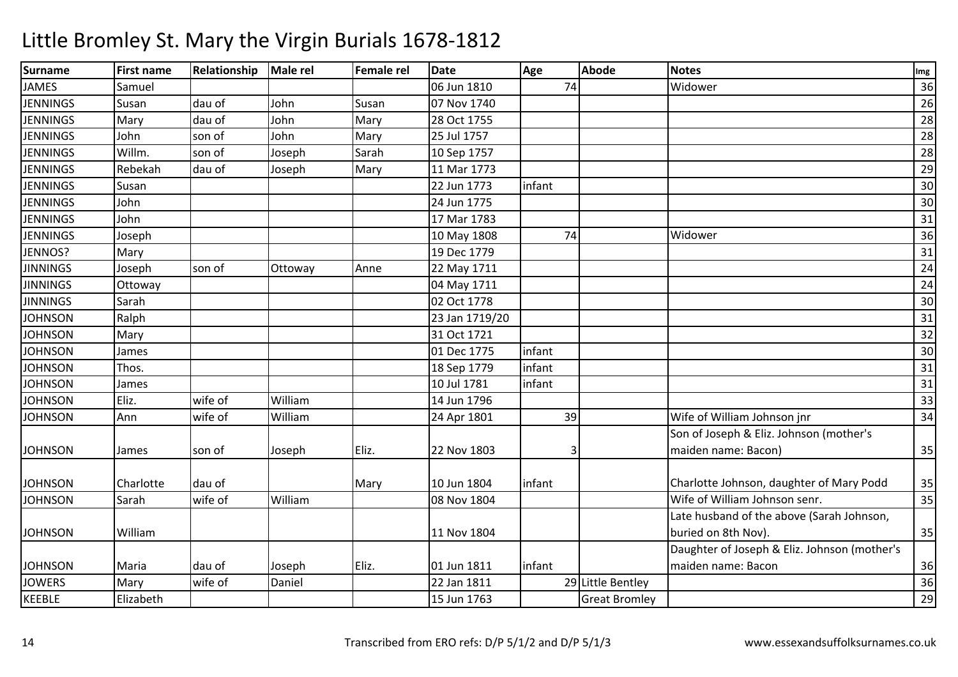| <b>Surname</b>  | <b>First name</b> | Relationship | <b>Male rel</b> | <b>Female rel</b> | <b>Date</b>    | Age    | <b>Abode</b>         | <b>Notes</b>                                 | Img             |
|-----------------|-------------------|--------------|-----------------|-------------------|----------------|--------|----------------------|----------------------------------------------|-----------------|
| <b>JAMES</b>    | Samuel            |              |                 |                   | 06 Jun 1810    | 74     |                      | Widower                                      | 36              |
| <b>JENNINGS</b> | Susan             | dau of       | John            | Susan             | 07 Nov 1740    |        |                      |                                              | 26              |
| <b>JENNINGS</b> | Mary              | dau of       | John            | Mary              | 28 Oct 1755    |        |                      |                                              | 28              |
| <b>JENNINGS</b> | John              | son of       | John            | Mary              | 25 Jul 1757    |        |                      |                                              | $\overline{28}$ |
| <b>JENNINGS</b> | Willm.            | son of       | Joseph          | Sarah             | 10 Sep 1757    |        |                      |                                              | 28              |
| <b>JENNINGS</b> | Rebekah           | dau of       | Joseph          | Mary              | 11 Mar 1773    |        |                      |                                              | 29              |
| <b>JENNINGS</b> | Susan             |              |                 |                   | 22 Jun 1773    | infant |                      |                                              | 30              |
| <b>JENNINGS</b> | John              |              |                 |                   | 24 Jun 1775    |        |                      |                                              | $30\,$          |
| <b>JENNINGS</b> | John              |              |                 |                   | 17 Mar 1783    |        |                      |                                              | 31              |
| <b>JENNINGS</b> | Joseph            |              |                 |                   | 10 May 1808    | 74     |                      | Widower                                      | 36              |
| JENNOS?         | Mary              |              |                 |                   | 19 Dec 1779    |        |                      |                                              | 31              |
| <b>JINNINGS</b> | Joseph            | son of       | Ottoway         | Anne              | 22 May 1711    |        |                      |                                              | 24              |
| <b>JINNINGS</b> | Ottoway           |              |                 |                   | 04 May 1711    |        |                      |                                              | 24              |
| <b>JINNINGS</b> | Sarah             |              |                 |                   | 02 Oct 1778    |        |                      |                                              | $30\,$          |
| <b>JOHNSON</b>  | Ralph             |              |                 |                   | 23 Jan 1719/20 |        |                      |                                              | $\overline{31}$ |
| <b>JOHNSON</b>  | Mary              |              |                 |                   | 31 Oct 1721    |        |                      |                                              | 32              |
| <b>JOHNSON</b>  | James             |              |                 |                   | 01 Dec 1775    | infant |                      |                                              | 30              |
| <b>JOHNSON</b>  | Thos.             |              |                 |                   | 18 Sep 1779    | infant |                      |                                              | 31              |
| <b>JOHNSON</b>  | James             |              |                 |                   | 10 Jul 1781    | infant |                      |                                              | $\overline{31}$ |
| <b>JOHNSON</b>  | Eliz.             | wife of      | William         |                   | 14 Jun 1796    |        |                      |                                              | 33              |
| <b>JOHNSON</b>  | Ann               | wife of      | William         |                   | 24 Apr 1801    | 39     |                      | Wife of William Johnson jnr                  | 34              |
|                 |                   |              |                 |                   |                |        |                      | Son of Joseph & Eliz. Johnson (mother's      |                 |
| <b>JOHNSON</b>  | James             | son of       | Joseph          | Eliz.             | 22 Nov 1803    | 3      |                      | maiden name: Bacon)                          | 35              |
| <b>JOHNSON</b>  | Charlotte         | dau of       |                 | Mary              | 10 Jun 1804    | infant |                      | Charlotte Johnson, daughter of Mary Podd     | 35              |
| <b>JOHNSON</b>  | Sarah             | wife of      | William         |                   | 08 Nov 1804    |        |                      | Wife of William Johnson senr.                | 35              |
|                 |                   |              |                 |                   |                |        |                      | Late husband of the above (Sarah Johnson,    |                 |
| <b>JOHNSON</b>  | William           |              |                 |                   | 11 Nov 1804    |        |                      | buried on 8th Nov).                          | 35              |
|                 |                   |              |                 |                   |                |        |                      | Daughter of Joseph & Eliz. Johnson (mother's |                 |
| <b>JOHNSON</b>  | Maria             | dau of       | Joseph          | Eliz.             | 01 Jun 1811    | infant |                      | maiden name: Bacon                           | 36              |
| <b>JOWERS</b>   | Mary              | wife of      | Daniel          |                   | 22 Jan 1811    |        | 29 Little Bentley    |                                              | 36              |
| <b>KEEBLE</b>   | Elizabeth         |              |                 |                   | 15 Jun 1763    |        | <b>Great Bromley</b> |                                              | 29              |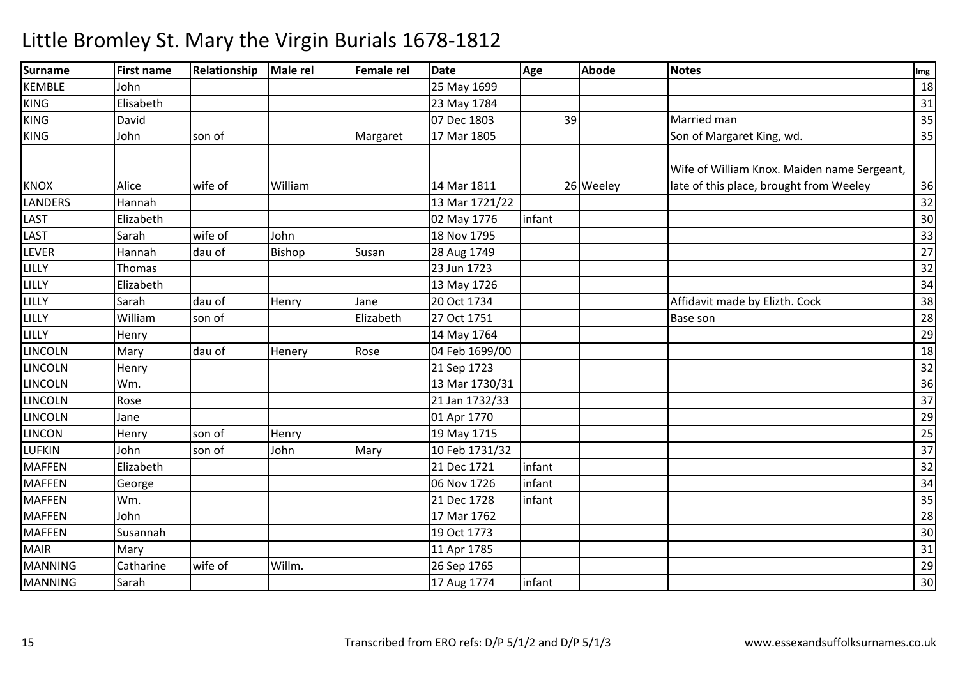| <b>Surname</b> | <b>First name</b> | <b>Relationship</b> | Male rel | <b>Female rel</b> | <b>Date</b>    | Age    | <b>Abode</b> | <b>Notes</b>                                | Img             |
|----------------|-------------------|---------------------|----------|-------------------|----------------|--------|--------------|---------------------------------------------|-----------------|
| <b>KEMBLE</b>  | John              |                     |          |                   | 25 May 1699    |        |              |                                             | 18              |
| <b>KING</b>    | Elisabeth         |                     |          |                   | 23 May 1784    |        |              |                                             | 31              |
| <b>KING</b>    | David             |                     |          |                   | 07 Dec 1803    | 39     |              | Married man                                 | 35              |
| <b>KING</b>    | John              | son of              |          | Margaret          | 17 Mar 1805    |        |              | Son of Margaret King, wd.                   | 35              |
|                |                   |                     |          |                   |                |        |              | Wife of William Knox. Maiden name Sergeant, |                 |
| <b>KNOX</b>    | Alice             | wife of             | William  |                   | 14 Mar 1811    |        | 26 Weeley    | late of this place, brought from Weeley     | 36              |
| <b>LANDERS</b> | Hannah            |                     |          |                   | 13 Mar 1721/22 |        |              |                                             | 32              |
| <b>LAST</b>    | Elizabeth         |                     |          |                   | 02 May 1776    | infant |              |                                             | 30              |
| <b>LAST</b>    | Sarah             | wife of             | John     |                   | 18 Nov 1795    |        |              |                                             | 33              |
| <b>LEVER</b>   | Hannah            | dau of              | Bishop   | Susan             | 28 Aug 1749    |        |              |                                             | $\overline{27}$ |
| LILLY          | Thomas            |                     |          |                   | 23 Jun 1723    |        |              |                                             | 32              |
| LILLY          | Elizabeth         |                     |          |                   | 13 May 1726    |        |              |                                             | 34              |
| LILLY          | Sarah             | dau of              | Henry    | Jane              | 20 Oct 1734    |        |              | Affidavit made by Elizth. Cock              | 38              |
| LILLY          | William           | son of              |          | Elizabeth         | 27 Oct 1751    |        |              | <b>Base son</b>                             | 28              |
| LILLY          | Henry             |                     |          |                   | 14 May 1764    |        |              |                                             | 29              |
| <b>LINCOLN</b> | Mary              | dau of              | Henery   | Rose              | 04 Feb 1699/00 |        |              |                                             | 18              |
| <b>LINCOLN</b> | Henry             |                     |          |                   | 21 Sep 1723    |        |              |                                             | 32              |
| <b>LINCOLN</b> | Wm.               |                     |          |                   | 13 Mar 1730/31 |        |              |                                             | 36              |
| <b>LINCOLN</b> | Rose              |                     |          |                   | 21 Jan 1732/33 |        |              |                                             | 37              |
| <b>LINCOLN</b> | Jane              |                     |          |                   | 01 Apr 1770    |        |              |                                             | 29              |
| <b>LINCON</b>  | Henry             | son of              | Henry    |                   | 19 May 1715    |        |              |                                             | 25              |
| <b>LUFKIN</b>  | John              | son of              | John     | Mary              | 10 Feb 1731/32 |        |              |                                             | 37              |
| <b>MAFFEN</b>  | Elizabeth         |                     |          |                   | 21 Dec 1721    | infant |              |                                             | 32              |
| <b>MAFFEN</b>  | George            |                     |          |                   | 06 Nov 1726    | infant |              |                                             | 34              |
| <b>MAFFEN</b>  | Wm.               |                     |          |                   | 21 Dec 1728    | infant |              |                                             | 35              |
| <b>MAFFEN</b>  | John              |                     |          |                   | 17 Mar 1762    |        |              |                                             | 28              |
| <b>MAFFEN</b>  | Susannah          |                     |          |                   | 19 Oct 1773    |        |              |                                             | 30              |
| <b>MAIR</b>    | Mary              |                     |          |                   | 11 Apr 1785    |        |              |                                             | 31              |
| <b>MANNING</b> | Catharine         | wife of             | Willm.   |                   | 26 Sep 1765    |        |              |                                             | 29              |
| <b>MANNING</b> | Sarah             |                     |          |                   | 17 Aug 1774    | infant |              |                                             | 30              |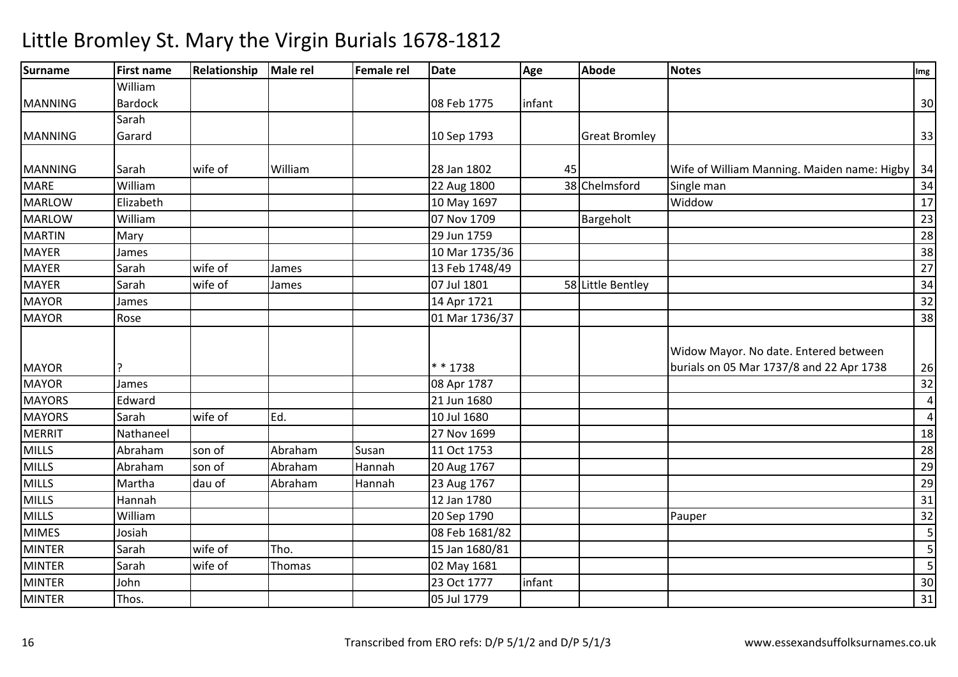| <b>Surname</b> | <b>First name</b> | Relationship | Male rel | <b>Female rel</b> | <b>Date</b>    | Age    | <b>Abode</b>         | <b>Notes</b>                                | Img             |
|----------------|-------------------|--------------|----------|-------------------|----------------|--------|----------------------|---------------------------------------------|-----------------|
|                | William           |              |          |                   |                |        |                      |                                             |                 |
| <b>MANNING</b> | <b>Bardock</b>    |              |          |                   | 08 Feb 1775    | infant |                      |                                             | 30              |
|                | Sarah             |              |          |                   |                |        |                      |                                             |                 |
| <b>MANNING</b> | Garard            |              |          |                   | 10 Sep 1793    |        | <b>Great Bromley</b> |                                             | 33              |
| <b>MANNING</b> | Sarah             | wife of      | William  |                   | 28 Jan 1802    | 45     |                      | Wife of William Manning. Maiden name: Higby | 34              |
| <b>MARE</b>    | William           |              |          |                   | 22 Aug 1800    |        | 38 Chelmsford        | Single man                                  | 34              |
| <b>MARLOW</b>  | Elizabeth         |              |          |                   | 10 May 1697    |        |                      | Widdow                                      | 17              |
| <b>MARLOW</b>  | William           |              |          |                   | 07 Nov 1709    |        | Bargeholt            |                                             | 23              |
| <b>MARTIN</b>  | Mary              |              |          |                   | 29 Jun 1759    |        |                      |                                             | 28              |
| <b>MAYER</b>   | James             |              |          |                   | 10 Mar 1735/36 |        |                      |                                             | 38              |
| <b>MAYER</b>   | Sarah             | wife of      | James    |                   | 13 Feb 1748/49 |        |                      |                                             | $\overline{27}$ |
| <b>MAYER</b>   | Sarah             | wife of      | James    |                   | 07 Jul 1801    |        | 58 Little Bentley    |                                             | 34              |
| <b>MAYOR</b>   | James             |              |          |                   | 14 Apr 1721    |        |                      |                                             | 32              |
| <b>MAYOR</b>   | Rose              |              |          |                   | 01 Mar 1736/37 |        |                      |                                             | 38              |
|                |                   |              |          |                   |                |        |                      | Widow Mayor. No date. Entered between       |                 |
| <b>MAYOR</b>   |                   |              |          |                   | * * 1738       |        |                      | burials on 05 Mar 1737/8 and 22 Apr 1738    | 26              |
| <b>MAYOR</b>   | James             |              |          |                   | 08 Apr 1787    |        |                      |                                             | 32              |
| <b>MAYORS</b>  | Edward            |              |          |                   | 21 Jun 1680    |        |                      |                                             | 4               |
| <b>MAYORS</b>  | Sarah             | wife of      | Ed.      |                   | 10 Jul 1680    |        |                      |                                             | $\overline{4}$  |
| <b>MERRIT</b>  | Nathaneel         |              |          |                   | 27 Nov 1699    |        |                      |                                             | 18              |
| <b>MILLS</b>   | Abraham           | son of       | Abraham  | Susan             | 11 Oct 1753    |        |                      |                                             | $\overline{28}$ |
| <b>MILLS</b>   | Abraham           | son of       | Abraham  | Hannah            | 20 Aug 1767    |        |                      |                                             | 29              |
| <b>MILLS</b>   | Martha            | dau of       | Abraham  | Hannah            | 23 Aug 1767    |        |                      |                                             | 29              |
| <b>MILLS</b>   | Hannah            |              |          |                   | 12 Jan 1780    |        |                      |                                             | 31              |
| <b>MILLS</b>   | William           |              |          |                   | 20 Sep 1790    |        |                      | Pauper                                      | 32              |
| <b>MIMES</b>   | Josiah            |              |          |                   | 08 Feb 1681/82 |        |                      |                                             | 5               |
| <b>MINTER</b>  | Sarah             | wife of      | Tho.     |                   | 15 Jan 1680/81 |        |                      |                                             | 5               |
| <b>MINTER</b>  | Sarah             | wife of      | Thomas   |                   | 02 May 1681    |        |                      |                                             | $\overline{5}$  |
| <b>MINTER</b>  | John              |              |          |                   | 23 Oct 1777    | infant |                      |                                             | 30              |
| <b>MINTER</b>  | Thos.             |              |          |                   | 05 Jul 1779    |        |                      |                                             | 31              |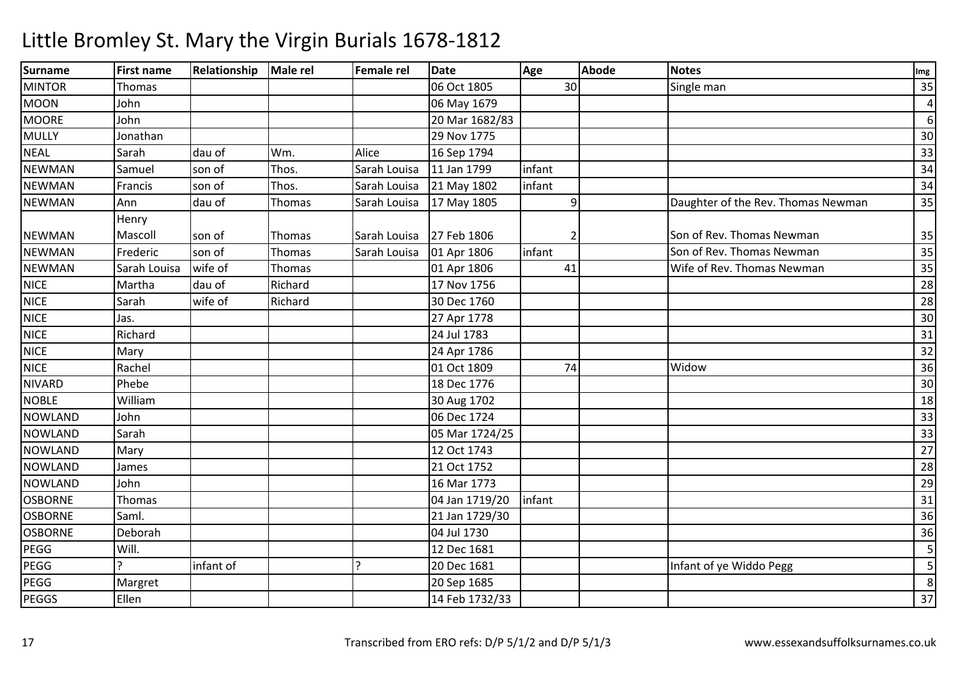| <b>Surname</b> | <b>First name</b> | Relationship | Male rel | <b>Female rel</b> | <b>Date</b>    | Age            | <b>Abode</b> | <b>Notes</b>                       | Img                     |
|----------------|-------------------|--------------|----------|-------------------|----------------|----------------|--------------|------------------------------------|-------------------------|
| <b>MINTOR</b>  | Thomas            |              |          |                   | 06 Oct 1805    | 30             |              | Single man                         | 35                      |
| <b>MOON</b>    | John              |              |          |                   | 06 May 1679    |                |              |                                    | $\overline{4}$          |
| <b>MOORE</b>   | John              |              |          |                   | 20 Mar 1682/83 |                |              |                                    | $6 \mid$                |
| <b>MULLY</b>   | Jonathan          |              |          |                   | 29 Nov 1775    |                |              |                                    | 30                      |
| <b>NEAL</b>    | Sarah             | dau of       | Wm.      | Alice             | 16 Sep 1794    |                |              |                                    | 33                      |
| <b>NEWMAN</b>  | Samuel            | son of       | Thos.    | Sarah Louisa      | 11 Jan 1799    | infant         |              |                                    | 34                      |
| <b>NEWMAN</b>  | Francis           | son of       | Thos.    | Sarah Louisa      | 21 May 1802    | infant         |              |                                    | 34                      |
| <b>NEWMAN</b>  | Ann               | dau of       | Thomas   | Sarah Louisa      | 17 May 1805    | $\overline{9}$ |              | Daughter of the Rev. Thomas Newman | 35                      |
|                | Henry             |              |          |                   |                |                |              |                                    |                         |
| <b>NEWMAN</b>  | Mascoll           | son of       | Thomas   | Sarah Louisa      | 27 Feb 1806    | 2              |              | Son of Rev. Thomas Newman          | 35                      |
| <b>NEWMAN</b>  | Frederic          | son of       | Thomas   | Sarah Louisa      | 01 Apr 1806    | infant         |              | Son of Rev. Thomas Newman          | 35                      |
| <b>NEWMAN</b>  | Sarah Louisa      | wife of      | Thomas   |                   | 01 Apr 1806    | 41             |              | Wife of Rev. Thomas Newman         | 35                      |
| <b>NICE</b>    | Martha            | dau of       | Richard  |                   | 17 Nov 1756    |                |              |                                    | 28                      |
| <b>NICE</b>    | Sarah             | wife of      | Richard  |                   | 30 Dec 1760    |                |              |                                    | 28                      |
| <b>NICE</b>    | Jas.              |              |          |                   | 27 Apr 1778    |                |              |                                    | 30                      |
| <b>NICE</b>    | Richard           |              |          |                   | 24 Jul 1783    |                |              |                                    | 31                      |
| <b>NICE</b>    | Mary              |              |          |                   | 24 Apr 1786    |                |              |                                    | 32                      |
| <b>NICE</b>    | Rachel            |              |          |                   | 01 Oct 1809    | 74             |              | Widow                              | 36                      |
| <b>NIVARD</b>  | Phebe             |              |          |                   | 18 Dec 1776    |                |              |                                    | 30                      |
| <b>NOBLE</b>   | William           |              |          |                   | 30 Aug 1702    |                |              |                                    | 18                      |
| <b>NOWLAND</b> | John              |              |          |                   | 06 Dec 1724    |                |              |                                    | 33                      |
| <b>NOWLAND</b> | Sarah             |              |          |                   | 05 Mar 1724/25 |                |              |                                    | 33                      |
| <b>NOWLAND</b> | Mary              |              |          |                   | 12 Oct 1743    |                |              |                                    | 27                      |
| <b>NOWLAND</b> | James             |              |          |                   | 21 Oct 1752    |                |              |                                    | 28                      |
| <b>NOWLAND</b> | John              |              |          |                   | 16 Mar 1773    |                |              |                                    | 29                      |
| <b>OSBORNE</b> | Thomas            |              |          |                   | 04 Jan 1719/20 | infant         |              |                                    | 31                      |
| <b>OSBORNE</b> | Saml.             |              |          |                   | 21 Jan 1729/30 |                |              |                                    | 36                      |
| <b>OSBORNE</b> | Deborah           |              |          |                   | 04 Jul 1730    |                |              |                                    | 36                      |
| PEGG           | Will.             |              |          |                   | 12 Dec 1681    |                |              |                                    | 5                       |
| PEGG           |                   | infant of    |          | ?                 | 20 Dec 1681    |                |              | Infant of ye Widdo Pegg            | $\overline{\mathbf{5}}$ |
| PEGG           | Margret           |              |          |                   | 20 Sep 1685    |                |              |                                    | 8                       |
| <b>PEGGS</b>   | Ellen             |              |          |                   | 14 Feb 1732/33 |                |              |                                    | 37                      |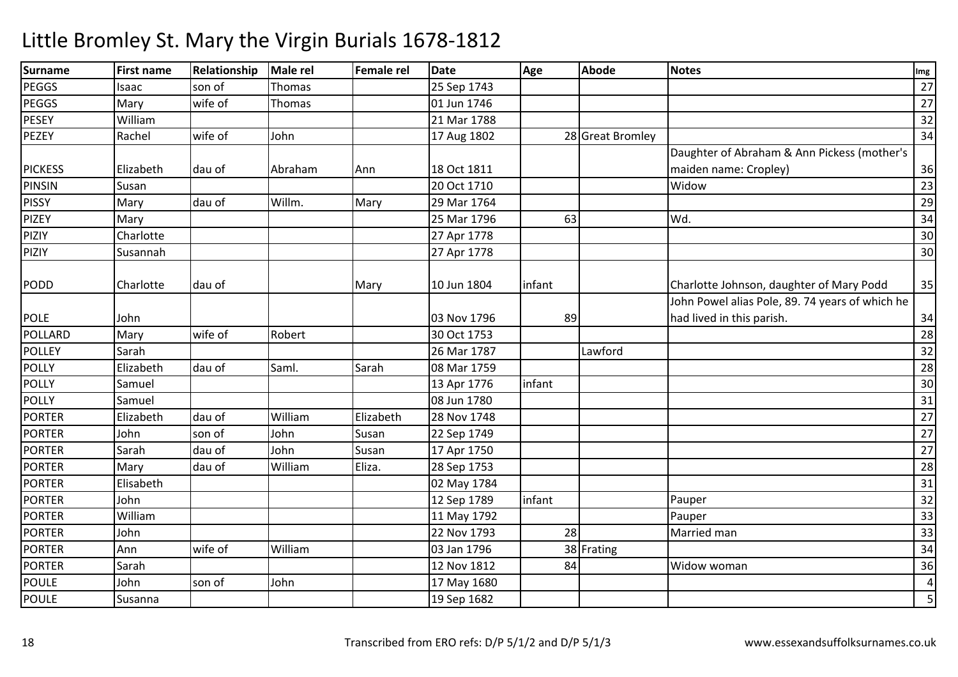| Surname        | <b>First name</b> | Relationship | <b>Male rel</b> | Female rel | <b>Date</b> | Age    | <b>Abode</b>     | <b>Notes</b>                                    | Img                     |
|----------------|-------------------|--------------|-----------------|------------|-------------|--------|------------------|-------------------------------------------------|-------------------------|
| PEGGS          | Isaac             | son of       | Thomas          |            | 25 Sep 1743 |        |                  |                                                 | 27                      |
| PEGGS          | Mary              | wife of      | Thomas          |            | 01 Jun 1746 |        |                  |                                                 | 27                      |
| PESEY          | William           |              |                 |            | 21 Mar 1788 |        |                  |                                                 | 32                      |
| <b>PEZEY</b>   | Rachel            | wife of      | John            |            | 17 Aug 1802 |        | 28 Great Bromley |                                                 | 34                      |
|                |                   |              |                 |            |             |        |                  | Daughter of Abraham & Ann Pickess (mother's     |                         |
| <b>PICKESS</b> | Elizabeth         | dau of       | Abraham         | Ann        | 18 Oct 1811 |        |                  | maiden name: Cropley)                           | 36                      |
| <b>PINSIN</b>  | Susan             |              |                 |            | 20 Oct 1710 |        |                  | Widow                                           | 23                      |
| <b>PISSY</b>   | Mary              | dau of       | Willm.          | Mary       | 29 Mar 1764 |        |                  |                                                 | 29                      |
| <b>PIZEY</b>   | Mary              |              |                 |            | 25 Mar 1796 | 63     |                  | Wd.                                             | 34                      |
| PIZIY          | Charlotte         |              |                 |            | 27 Apr 1778 |        |                  |                                                 | 30                      |
| PIZIY          | Susannah          |              |                 |            | 27 Apr 1778 |        |                  |                                                 | 30                      |
| <b>PODD</b>    | Charlotte         | dau of       |                 | Mary       | 10 Jun 1804 | infant |                  | Charlotte Johnson, daughter of Mary Podd        | 35                      |
|                |                   |              |                 |            |             |        |                  | John Powel alias Pole, 89. 74 years of which he |                         |
| <b>POLE</b>    | John              |              |                 |            | 03 Nov 1796 | 89     |                  | had lived in this parish.                       | 34                      |
| POLLARD        | Mary              | wife of      | Robert          |            | 30 Oct 1753 |        |                  |                                                 | 28                      |
| <b>POLLEY</b>  | Sarah             |              |                 |            | 26 Mar 1787 |        | Lawford          |                                                 | 32                      |
| POLLY          | Elizabeth         | dau of       | Saml.           | Sarah      | 08 Mar 1759 |        |                  |                                                 | 28                      |
| <b>POLLY</b>   | Samuel            |              |                 |            | 13 Apr 1776 | infant |                  |                                                 | $\overline{30}$         |
| <b>POLLY</b>   | Samuel            |              |                 |            | 08 Jun 1780 |        |                  |                                                 | 31                      |
| <b>PORTER</b>  | Elizabeth         | dau of       | William         | Elizabeth  | 28 Nov 1748 |        |                  |                                                 | 27                      |
| <b>PORTER</b>  | John              | son of       | John            | Susan      | 22 Sep 1749 |        |                  |                                                 | 27                      |
| <b>PORTER</b>  | Sarah             | dau of       | John            | Susan      | 17 Apr 1750 |        |                  |                                                 | $\overline{27}$         |
| <b>PORTER</b>  | Mary              | dau of       | William         | Eliza.     | 28 Sep 1753 |        |                  |                                                 | 28                      |
| <b>PORTER</b>  | Elisabeth         |              |                 |            | 02 May 1784 |        |                  |                                                 | 31                      |
| <b>PORTER</b>  | John              |              |                 |            | 12 Sep 1789 | infant |                  | Pauper                                          | $\overline{32}$         |
| <b>PORTER</b>  | William           |              |                 |            | 11 May 1792 |        |                  | Pauper                                          | 33                      |
| <b>PORTER</b>  | John              |              |                 |            | 22 Nov 1793 | 28     |                  | Married man                                     | 33                      |
| <b>PORTER</b>  | Ann               | wife of      | William         |            | 03 Jan 1796 |        | 38 Frating       |                                                 | 34                      |
| <b>PORTER</b>  | Sarah             |              |                 |            | 12 Nov 1812 | 84     |                  | Widow woman                                     | 36                      |
| <b>POULE</b>   | John              | son of       | John            |            | 17 May 1680 |        |                  |                                                 | $\overline{4}$          |
| <b>POULE</b>   | Susanna           |              |                 |            | 19 Sep 1682 |        |                  |                                                 | $\overline{\mathbf{5}}$ |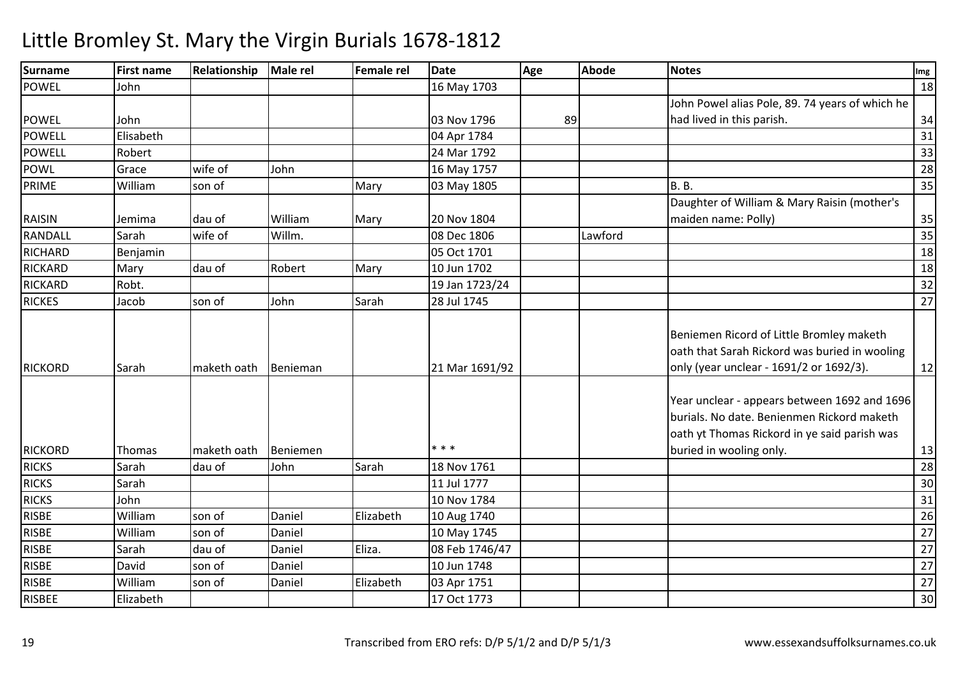| Surname        | <b>First name</b> | Relationship | Male rel | Female rel | <b>Date</b>    | Age | <b>Abode</b> | <b>Notes</b>                                                                                                                                                          | Img             |
|----------------|-------------------|--------------|----------|------------|----------------|-----|--------------|-----------------------------------------------------------------------------------------------------------------------------------------------------------------------|-----------------|
| <b>POWEL</b>   | John              |              |          |            | 16 May 1703    |     |              |                                                                                                                                                                       | 18              |
|                |                   |              |          |            |                |     |              | John Powel alias Pole, 89. 74 years of which he                                                                                                                       |                 |
| <b>POWEL</b>   | John              |              |          |            | 03 Nov 1796    | 89  |              | had lived in this parish.                                                                                                                                             | 34              |
| <b>POWELL</b>  | Elisabeth         |              |          |            | 04 Apr 1784    |     |              |                                                                                                                                                                       | 31              |
| POWELL         | Robert            |              |          |            | 24 Mar 1792    |     |              |                                                                                                                                                                       | 33              |
| <b>POWL</b>    | Grace             | wife of      | John     |            | 16 May 1757    |     |              |                                                                                                                                                                       | 28              |
| PRIME          | William           | son of       |          | Mary       | 03 May 1805    |     |              | <b>B.</b> B.                                                                                                                                                          | 35              |
|                |                   |              |          |            |                |     |              | Daughter of William & Mary Raisin (mother's                                                                                                                           |                 |
| <b>RAISIN</b>  | Jemima            | dau of       | William  | Mary       | 20 Nov 1804    |     |              | maiden name: Polly)                                                                                                                                                   | 35              |
| RANDALL        | Sarah             | wife of      | Willm.   |            | 08 Dec 1806    |     | Lawford      |                                                                                                                                                                       | 35              |
| <b>RICHARD</b> | Benjamin          |              |          |            | 05 Oct 1701    |     |              |                                                                                                                                                                       | 18              |
| <b>RICKARD</b> | Mary              | dau of       | Robert   | Mary       | 10 Jun 1702    |     |              |                                                                                                                                                                       | 18              |
| <b>RICKARD</b> | Robt.             |              |          |            | 19 Jan 1723/24 |     |              |                                                                                                                                                                       | 32              |
| <b>RICKES</b>  | Jacob             | son of       | John     | Sarah      | 28 Jul 1745    |     |              |                                                                                                                                                                       | 27              |
| <b>RICKORD</b> | Sarah             | maketh oath  | Benieman |            | 21 Mar 1691/92 |     |              | Beniemen Ricord of Little Bromley maketh<br>oath that Sarah Rickord was buried in wooling<br>only (year unclear - 1691/2 or 1692/3).                                  | 12              |
| <b>RICKORD</b> | Thomas            | maketh oath  | Beniemen |            | * * *          |     |              | Year unclear - appears between 1692 and 1696<br>burials. No date. Benienmen Rickord maketh<br>oath yt Thomas Rickord in ye said parish was<br>buried in wooling only. | 13              |
| <b>RICKS</b>   | Sarah             | dau of       | John     | Sarah      | 18 Nov 1761    |     |              |                                                                                                                                                                       | 28              |
| <b>RICKS</b>   | Sarah             |              |          |            | 11 Jul 1777    |     |              |                                                                                                                                                                       | 30              |
| <b>RICKS</b>   | John              |              |          |            | 10 Nov 1784    |     |              |                                                                                                                                                                       | 31              |
| <b>RISBE</b>   | William           | son of       | Daniel   | Elizabeth  | 10 Aug 1740    |     |              |                                                                                                                                                                       | $\overline{26}$ |
| <b>RISBE</b>   | William           | son of       | Daniel   |            | 10 May 1745    |     |              |                                                                                                                                                                       | $\overline{27}$ |
| <b>RISBE</b>   | Sarah             | dau of       | Daniel   | Eliza.     | 08 Feb 1746/47 |     |              |                                                                                                                                                                       | $\overline{27}$ |
| <b>RISBE</b>   | David             | son of       | Daniel   |            | 10 Jun 1748    |     |              |                                                                                                                                                                       | $\overline{27}$ |
| <b>RISBE</b>   | William           | son of       | Daniel   | Elizabeth  | 03 Apr 1751    |     |              |                                                                                                                                                                       | $\overline{27}$ |
| <b>RISBEE</b>  | Elizabeth         |              |          |            | 17 Oct 1773    |     |              |                                                                                                                                                                       | 30              |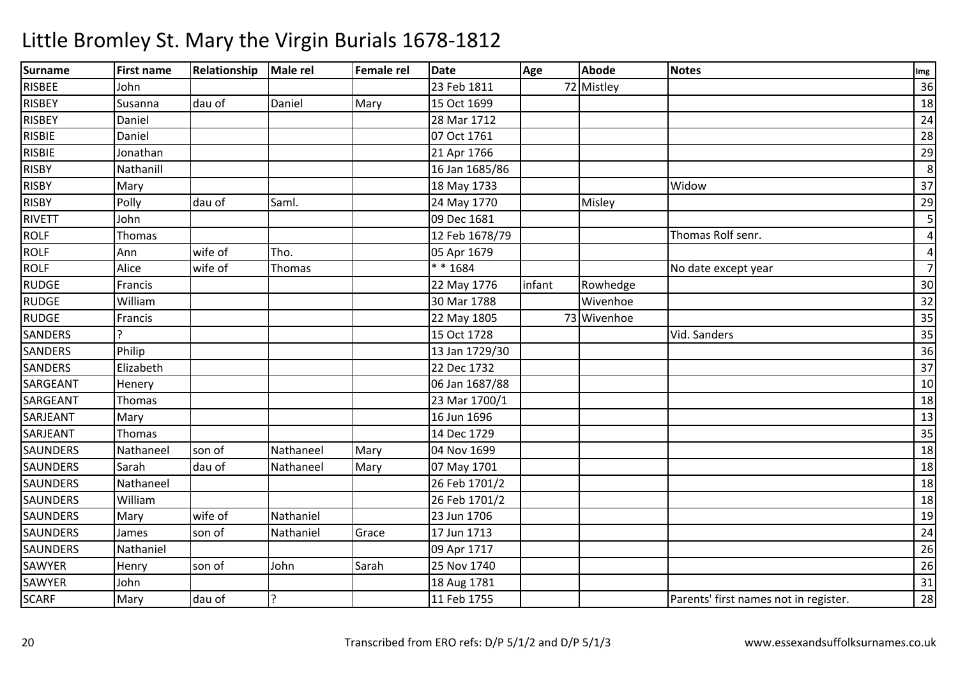| <b>Surname</b>  | <b>First name</b> | Relationship | Male rel     | Female rel | <b>Date</b>    | Age    | <b>Abode</b> | <b>Notes</b>                          | Img                     |
|-----------------|-------------------|--------------|--------------|------------|----------------|--------|--------------|---------------------------------------|-------------------------|
| <b>RISBEE</b>   | John              |              |              |            | 23 Feb 1811    |        | 72 Mistley   |                                       | 36                      |
| <b>RISBEY</b>   | Susanna           | dau of       | Daniel       | Mary       | 15 Oct 1699    |        |              |                                       | 18                      |
| <b>RISBEY</b>   | Daniel            |              |              |            | 28 Mar 1712    |        |              |                                       | 24                      |
| <b>RISBIE</b>   | Daniel            |              |              |            | 07 Oct 1761    |        |              |                                       | $\overline{28}$         |
| <b>RISBIE</b>   | Jonathan          |              |              |            | 21 Apr 1766    |        |              |                                       | 29                      |
| <b>RISBY</b>    | Nathanill         |              |              |            | 16 Jan 1685/86 |        |              |                                       | 8                       |
| <b>RISBY</b>    | Mary              |              |              |            | 18 May 1733    |        |              | Widow                                 | $\overline{37}$         |
| <b>RISBY</b>    | Polly             | dau of       | Saml.        |            | 24 May 1770    |        | Misley       |                                       | 29                      |
| <b>RIVETT</b>   | John              |              |              |            | 09 Dec 1681    |        |              |                                       | $\overline{\mathbf{5}}$ |
| <b>ROLF</b>     | Thomas            |              |              |            | 12 Feb 1678/79 |        |              | Thomas Rolf senr.                     | $\overline{4}$          |
| <b>ROLF</b>     | Ann               | wife of      | Tho.         |            | 05 Apr 1679    |        |              |                                       | 4                       |
| <b>ROLF</b>     | Alice             | wife of      | Thomas       |            | ** 1684        |        |              | No date except year                   | $\overline{7}$          |
| <b>RUDGE</b>    | Francis           |              |              |            | 22 May 1776    | infant | Rowhedge     |                                       | 30                      |
| <b>RUDGE</b>    | William           |              |              |            | 30 Mar 1788    |        | Wivenhoe     |                                       | 32                      |
| <b>RUDGE</b>    | Francis           |              |              |            | 22 May 1805    |        | 73 Wivenhoe  |                                       | $\overline{35}$         |
| <b>SANDERS</b>  |                   |              |              |            | 15 Oct 1728    |        |              | Vid. Sanders                          | 35                      |
| <b>SANDERS</b>  | Philip            |              |              |            | 13 Jan 1729/30 |        |              |                                       | 36                      |
| <b>SANDERS</b>  | Elizabeth         |              |              |            | 22 Dec 1732    |        |              |                                       | $\overline{37}$         |
| SARGEANT        | Henery            |              |              |            | 06 Jan 1687/88 |        |              |                                       | 10                      |
| SARGEANT        | Thomas            |              |              |            | 23 Mar 1700/1  |        |              |                                       | 18                      |
| SARJEANT        | Mary              |              |              |            | 16 Jun 1696    |        |              |                                       | 13                      |
| SARJEANT        | Thomas            |              |              |            | 14 Dec 1729    |        |              |                                       | 35                      |
| <b>SAUNDERS</b> | Nathaneel         | son of       | Nathaneel    | Mary       | 04 Nov 1699    |        |              |                                       | $\overline{18}$         |
| <b>SAUNDERS</b> | Sarah             | dau of       | Nathaneel    | Mary       | 07 May 1701    |        |              |                                       | 18                      |
| <b>SAUNDERS</b> | Nathaneel         |              |              |            | 26 Feb 1701/2  |        |              |                                       | 18                      |
| SAUNDERS        | William           |              |              |            | 26 Feb 1701/2  |        |              |                                       | 18                      |
| <b>SAUNDERS</b> | Mary              | wife of      | Nathaniel    |            | 23 Jun 1706    |        |              |                                       | 19                      |
| <b>SAUNDERS</b> | James             | son of       | Nathaniel    | Grace      | 17 Jun 1713    |        |              |                                       | 24                      |
| <b>SAUNDERS</b> | Nathaniel         |              |              |            | 09 Apr 1717    |        |              |                                       | 26                      |
| <b>SAWYER</b>   | Henry             | son of       | John         | Sarah      | 25 Nov 1740    |        |              |                                       | 26                      |
| SAWYER          | John              |              |              |            | 18 Aug 1781    |        |              |                                       | 31                      |
| <b>SCARF</b>    | Mary              | dau of       | $\mathbf{C}$ |            | 11 Feb 1755    |        |              | Parents' first names not in register. | 28                      |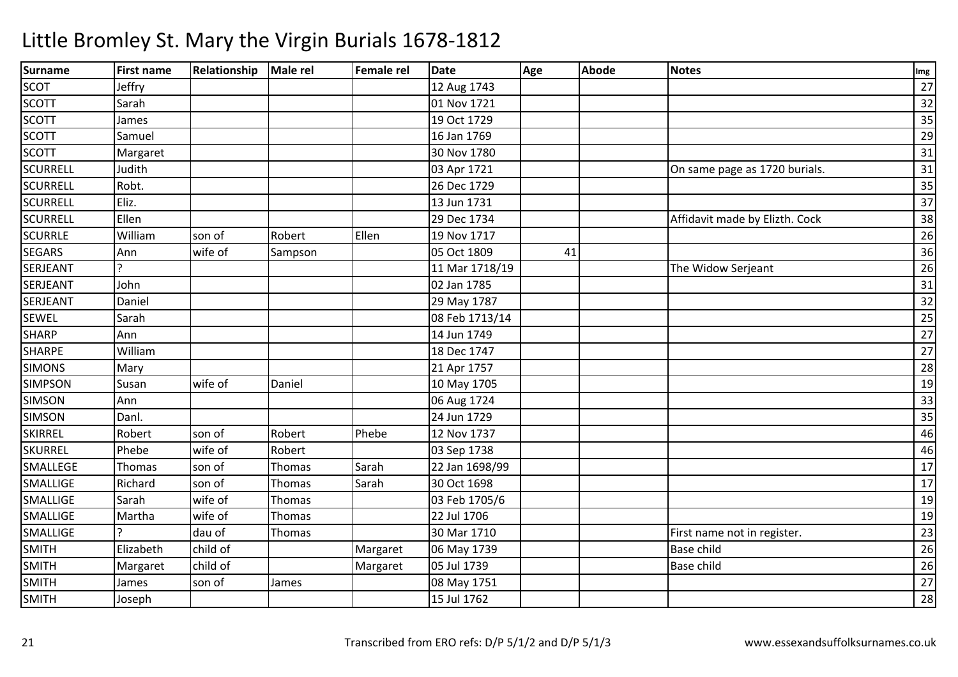| <b>Surname</b>  | <b>First name</b> | <b>Relationship</b> | Male rel | <b>Female rel</b> | <b>Date</b>    | Age | <b>Abode</b> | <b>Notes</b>                   | Img             |
|-----------------|-------------------|---------------------|----------|-------------------|----------------|-----|--------------|--------------------------------|-----------------|
| <b>SCOT</b>     | Jeffry            |                     |          |                   | 12 Aug 1743    |     |              |                                | 27              |
| <b>SCOTT</b>    | Sarah             |                     |          |                   | 01 Nov 1721    |     |              |                                | 32              |
| <b>SCOTT</b>    | James             |                     |          |                   | 19 Oct 1729    |     |              |                                | 35              |
| <b>SCOTT</b>    | Samuel            |                     |          |                   | 16 Jan 1769    |     |              |                                | 29              |
| <b>SCOTT</b>    | Margaret          |                     |          |                   | 30 Nov 1780    |     |              |                                | 31              |
| <b>SCURRELL</b> | Judith            |                     |          |                   | 03 Apr 1721    |     |              | On same page as 1720 burials.  | 31              |
| <b>SCURRELL</b> | Robt.             |                     |          |                   | 26 Dec 1729    |     |              |                                | 35              |
| <b>SCURRELL</b> | Eliz.             |                     |          |                   | 13 Jun 1731    |     |              |                                | $\overline{37}$ |
| <b>SCURRELL</b> | Ellen             |                     |          |                   | 29 Dec 1734    |     |              | Affidavit made by Elizth. Cock | 38              |
| <b>SCURRLE</b>  | William           | son of              | Robert   | Ellen             | 19 Nov 1717    |     |              |                                | 26              |
| <b>SEGARS</b>   | Ann               | wife of             | Sampson  |                   | 05 Oct 1809    | 41  |              |                                | 36              |
| SERJEANT        |                   |                     |          |                   | 11 Mar 1718/19 |     |              | The Widow Serjeant             | 26              |
| SERJEANT        | John              |                     |          |                   | 02 Jan 1785    |     |              |                                | 31              |
| SERJEANT        | Daniel            |                     |          |                   | 29 May 1787    |     |              |                                | 32              |
| <b>SEWEL</b>    | Sarah             |                     |          |                   | 08 Feb 1713/14 |     |              |                                | 25              |
| <b>SHARP</b>    | Ann               |                     |          |                   | 14 Jun 1749    |     |              |                                | 27              |
| <b>SHARPE</b>   | William           |                     |          |                   | 18 Dec 1747    |     |              |                                | 27              |
| <b>SIMONS</b>   | Mary              |                     |          |                   | 21 Apr 1757    |     |              |                                | 28              |
| <b>SIMPSON</b>  | Susan             | wife of             | Daniel   |                   | 10 May 1705    |     |              |                                | 19              |
| <b>SIMSON</b>   | Ann               |                     |          |                   | 06 Aug 1724    |     |              |                                | 33              |
| <b>SIMSON</b>   | Danl.             |                     |          |                   | 24 Jun 1729    |     |              |                                | 35              |
| <b>SKIRREL</b>  | Robert            | son of              | Robert   | Phebe             | 12 Nov 1737    |     |              |                                | 46              |
| <b>SKURREL</b>  | Phebe             | wife of             | Robert   |                   | 03 Sep 1738    |     |              |                                | 46              |
| SMALLEGE        | Thomas            | son of              | Thomas   | Sarah             | 22 Jan 1698/99 |     |              |                                | 17              |
| SMALLIGE        | Richard           | son of              | Thomas   | Sarah             | 30 Oct 1698    |     |              |                                | 17              |
| <b>SMALLIGE</b> | Sarah             | wife of             | Thomas   |                   | 03 Feb 1705/6  |     |              |                                | 19              |
| <b>SMALLIGE</b> | Martha            | wife of             | Thomas   |                   | 22 Jul 1706    |     |              |                                | 19              |
| SMALLIGE        |                   | dau of              | Thomas   |                   | 30 Mar 1710    |     |              | First name not in register.    | 23              |
| <b>SMITH</b>    | Elizabeth         | child of            |          | Margaret          | 06 May 1739    |     |              | <b>Base child</b>              | 26              |
| <b>SMITH</b>    | Margaret          | child of            |          | Margaret          | 05 Jul 1739    |     |              | <b>Base child</b>              | 26              |
| <b>SMITH</b>    | James             | son of              | James    |                   | 08 May 1751    |     |              |                                | 27              |
| <b>SMITH</b>    | Joseph            |                     |          |                   | 15 Jul 1762    |     |              |                                | 28              |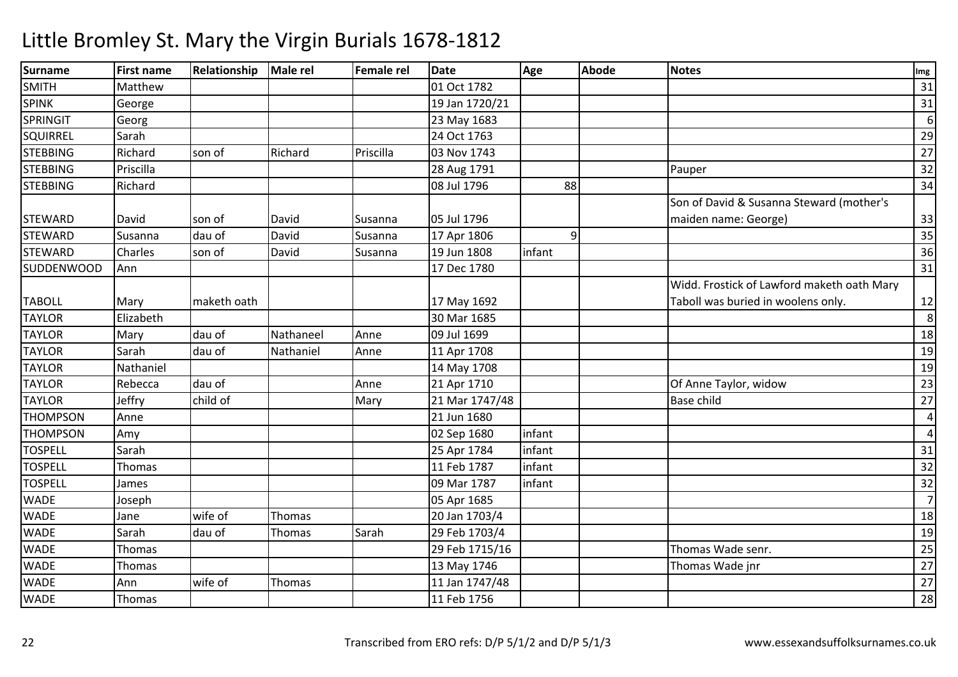| <b>Surname</b>  | <b>First name</b> | <b>Relationship</b> | Male rel  | <b>Female rel</b> | <b>Date</b>    | Age            | <b>Abode</b> | <b>Notes</b>                               | Img             |
|-----------------|-------------------|---------------------|-----------|-------------------|----------------|----------------|--------------|--------------------------------------------|-----------------|
| <b>SMITH</b>    | Matthew           |                     |           |                   | 01 Oct 1782    |                |              |                                            | 31              |
| <b>SPINK</b>    | George            |                     |           |                   | 19 Jan 1720/21 |                |              |                                            | $\overline{31}$ |
| <b>SPRINGIT</b> | Georg             |                     |           |                   | 23 May 1683    |                |              |                                            | 6               |
| SQUIRREL        | Sarah             |                     |           |                   | 24 Oct 1763    |                |              |                                            | 29              |
| <b>STEBBING</b> | Richard           | son of              | Richard   | Priscilla         | 03 Nov 1743    |                |              |                                            | 27              |
| <b>STEBBING</b> | Priscilla         |                     |           |                   | 28 Aug 1791    |                |              | Pauper                                     | 32              |
| <b>STEBBING</b> | Richard           |                     |           |                   | 08 Jul 1796    | 88             |              |                                            | 34              |
|                 |                   |                     |           |                   |                |                |              | Son of David & Susanna Steward (mother's   |                 |
| <b>STEWARD</b>  | David             | son of              | David     | Susanna           | 05 Jul 1796    |                |              | maiden name: George)                       | 33              |
| <b>STEWARD</b>  | Susanna           | dau of              | David     | Susanna           | 17 Apr 1806    | $\overline{9}$ |              |                                            | 35              |
| <b>STEWARD</b>  | Charles           | son of              | David     | Susanna           | 19 Jun 1808    | infant         |              |                                            | 36              |
| SUDDENWOOD      | Ann               |                     |           |                   | 17 Dec 1780    |                |              |                                            | 31              |
|                 |                   |                     |           |                   |                |                |              | Widd. Frostick of Lawford maketh oath Mary |                 |
| <b>TABOLL</b>   | Mary              | maketh oath         |           |                   | 17 May 1692    |                |              | Taboll was buried in woolens only.         | 12              |
| <b>TAYLOR</b>   | Elizabeth         |                     |           |                   | 30 Mar 1685    |                |              |                                            | 8               |
| <b>TAYLOR</b>   | Mary              | dau of              | Nathaneel | Anne              | 09 Jul 1699    |                |              |                                            | 18              |
| <b>TAYLOR</b>   | Sarah             | dau of              | Nathaniel | Anne              | 11 Apr 1708    |                |              |                                            | 19              |
| <b>TAYLOR</b>   | Nathaniel         |                     |           |                   | 14 May 1708    |                |              |                                            | 19              |
| <b>TAYLOR</b>   | Rebecca           | dau of              |           | Anne              | 21 Apr 1710    |                |              | Of Anne Taylor, widow                      | 23              |
| <b>TAYLOR</b>   | Jeffry            | child of            |           | Mary              | 21 Mar 1747/48 |                |              | <b>Base child</b>                          | 27              |
| <b>THOMPSON</b> | Anne              |                     |           |                   | 21 Jun 1680    |                |              |                                            | $\overline{4}$  |
| <b>THOMPSON</b> | Amy               |                     |           |                   | 02 Sep 1680    | infant         |              |                                            | $\overline{4}$  |
| <b>TOSPELL</b>  | Sarah             |                     |           |                   | 25 Apr 1784    | infant         |              |                                            | 31              |
| <b>TOSPELL</b>  | Thomas            |                     |           |                   | 11 Feb 1787    | infant         |              |                                            | 32              |
| <b>TOSPELL</b>  | James             |                     |           |                   | 09 Mar 1787    | infant         |              |                                            | $\overline{32}$ |
| <b>WADE</b>     | Joseph            |                     |           |                   | 05 Apr 1685    |                |              |                                            | $\overline{7}$  |
| <b>WADE</b>     | Jane              | wife of             | Thomas    |                   | 20 Jan 1703/4  |                |              |                                            | 18              |
| <b>WADE</b>     | Sarah             | dau of              | Thomas    | Sarah             | 29 Feb 1703/4  |                |              |                                            | 19              |
| <b>WADE</b>     | Thomas            |                     |           |                   | 29 Feb 1715/16 |                |              | Thomas Wade senr.                          | 25              |
| <b>WADE</b>     | Thomas            |                     |           |                   | 13 May 1746    |                |              | Thomas Wade jnr                            | 27              |
| <b>WADE</b>     | Ann               | wife of             | Thomas    |                   | 11 Jan 1747/48 |                |              |                                            | 27              |
| <b>WADE</b>     | Thomas            |                     |           |                   | 11 Feb 1756    |                |              |                                            | 28              |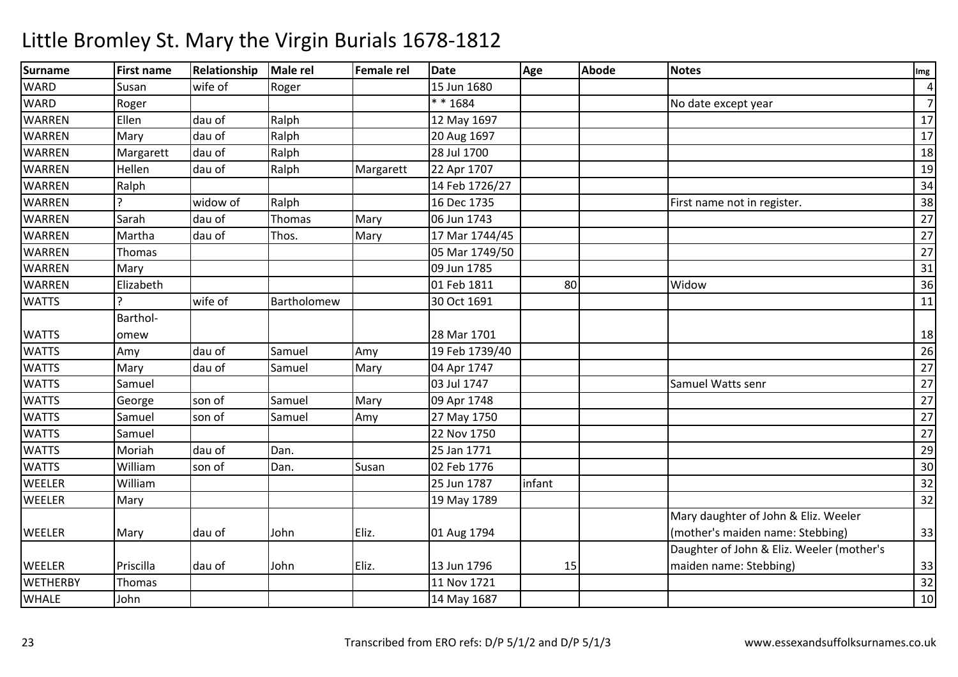| <b>Surname</b>  | <b>First name</b> | Relationship | Male rel    | Female rel | <b>Date</b>    | Age    | <b>Abode</b> | <b>Notes</b>                              | Img             |
|-----------------|-------------------|--------------|-------------|------------|----------------|--------|--------------|-------------------------------------------|-----------------|
| <b>WARD</b>     | Susan             | wife of      | Roger       |            | 15 Jun 1680    |        |              |                                           | $\overline{4}$  |
| <b>WARD</b>     | Roger             |              |             |            | ** 1684        |        |              | No date except year                       | $\overline{7}$  |
| <b>WARREN</b>   | Ellen             | dau of       | Ralph       |            | 12 May 1697    |        |              |                                           | 17              |
| <b>WARREN</b>   | Mary              | dau of       | Ralph       |            | 20 Aug 1697    |        |              |                                           | 17              |
| <b>WARREN</b>   | Margarett         | dau of       | Ralph       |            | 28 Jul 1700    |        |              |                                           | 18              |
| <b>WARREN</b>   | Hellen            | dau of       | Ralph       | Margarett  | 22 Apr 1707    |        |              |                                           | 19              |
| <b>WARREN</b>   | Ralph             |              |             |            | 14 Feb 1726/27 |        |              |                                           | 34              |
| <b>WARREN</b>   |                   | widow of     | Ralph       |            | 16 Dec 1735    |        |              | First name not in register.               | $\overline{38}$ |
| <b>WARREN</b>   | Sarah             | dau of       | Thomas      | Mary       | 06 Jun 1743    |        |              |                                           | $\overline{27}$ |
| <b>WARREN</b>   | Martha            | dau of       | Thos.       | Mary       | 17 Mar 1744/45 |        |              |                                           | $\overline{27}$ |
| <b>WARREN</b>   | Thomas            |              |             |            | 05 Mar 1749/50 |        |              |                                           | $\overline{27}$ |
| <b>WARREN</b>   | Mary              |              |             |            | 09 Jun 1785    |        |              |                                           | 31              |
| <b>WARREN</b>   | Elizabeth         |              |             |            | 01 Feb 1811    | 80     |              | Widow                                     | 36              |
| <b>WATTS</b>    |                   | wife of      | Bartholomew |            | 30 Oct 1691    |        |              |                                           | 11              |
|                 | Barthol-          |              |             |            |                |        |              |                                           |                 |
| <b>WATTS</b>    | omew              |              |             |            | 28 Mar 1701    |        |              |                                           | 18              |
| <b>WATTS</b>    | Amy               | dau of       | Samuel      | Amy        | 19 Feb 1739/40 |        |              |                                           | 26              |
| <b>WATTS</b>    | Mary              | dau of       | Samuel      | Mary       | 04 Apr 1747    |        |              |                                           | 27              |
| <b>WATTS</b>    | Samuel            |              |             |            | 03 Jul 1747    |        |              | Samuel Watts senr                         | $\overline{27}$ |
| <b>WATTS</b>    | George            | son of       | Samuel      | Mary       | 09 Apr 1748    |        |              |                                           | $\overline{27}$ |
| <b>WATTS</b>    | Samuel            | son of       | Samuel      | Amy        | 27 May 1750    |        |              |                                           | $\overline{27}$ |
| <b>WATTS</b>    | Samuel            |              |             |            | 22 Nov 1750    |        |              |                                           | $\overline{27}$ |
| <b>WATTS</b>    | Moriah            | dau of       | Dan.        |            | 25 Jan 1771    |        |              |                                           | 29              |
| <b>WATTS</b>    | William           | son of       | Dan.        | Susan      | 02 Feb 1776    |        |              |                                           | 30              |
| WEELER          | William           |              |             |            | 25 Jun 1787    | infant |              |                                           | 32              |
| WEELER          | Mary              |              |             |            | 19 May 1789    |        |              |                                           | $\overline{32}$ |
|                 |                   |              |             |            |                |        |              | Mary daughter of John & Eliz. Weeler      |                 |
| <b>WEELER</b>   | Mary              | dau of       | John        | Eliz.      | 01 Aug 1794    |        |              | (mother's maiden name: Stebbing)          | 33              |
|                 |                   |              |             |            |                |        |              | Daughter of John & Eliz. Weeler (mother's |                 |
| <b>WEELER</b>   | Priscilla         | dau of       | John        | Eliz.      | 13 Jun 1796    | 15     |              | maiden name: Stebbing)                    | 33              |
| <b>WETHERBY</b> | Thomas            |              |             |            | 11 Nov 1721    |        |              |                                           | 32              |
| <b>WHALE</b>    | John              |              |             |            | 14 May 1687    |        |              |                                           | 10              |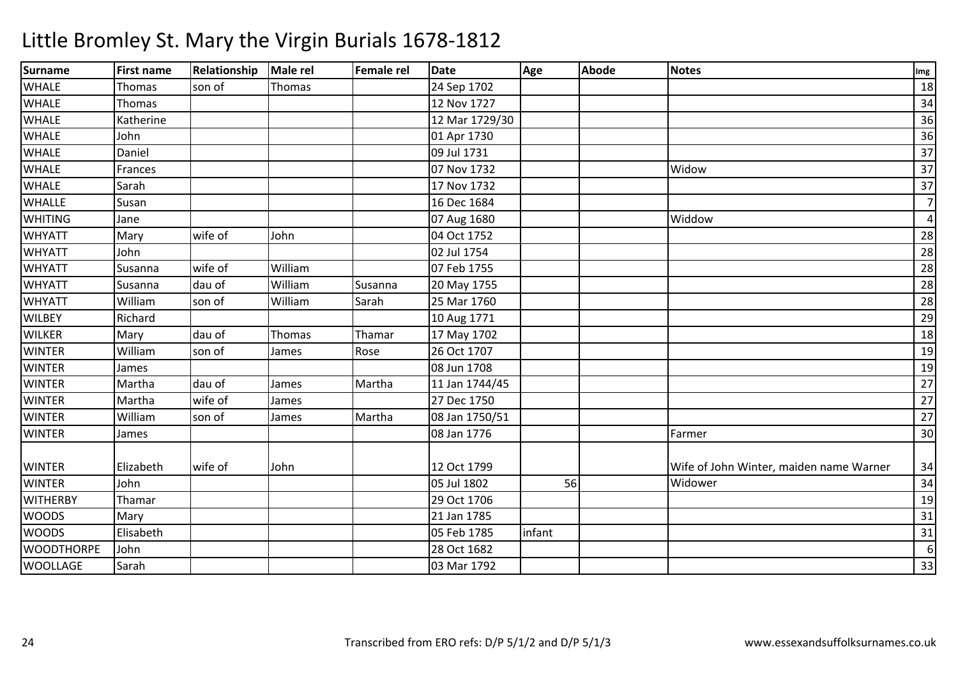| <b>Surname</b>    | <b>First name</b> | Relationship | Male rel | Female rel | <b>Date</b>    | Age    | <b>Abode</b> | <b>Notes</b>                            | Img              |
|-------------------|-------------------|--------------|----------|------------|----------------|--------|--------------|-----------------------------------------|------------------|
| <b>WHALE</b>      | Thomas            | son of       | Thomas   |            | 24 Sep 1702    |        |              |                                         | 18               |
| <b>WHALE</b>      | Thomas            |              |          |            | 12 Nov 1727    |        |              |                                         | 34               |
| <b>WHALE</b>      | Katherine         |              |          |            | 12 Mar 1729/30 |        |              |                                         | 36               |
| <b>WHALE</b>      | John              |              |          |            | 01 Apr 1730    |        |              |                                         | 36               |
| <b>WHALE</b>      | Daniel            |              |          |            | 09 Jul 1731    |        |              |                                         | 37               |
| <b>WHALE</b>      | Frances           |              |          |            | 07 Nov 1732    |        |              | Widow                                   | 37               |
| <b>WHALE</b>      | Sarah             |              |          |            | 17 Nov 1732    |        |              |                                         | 37               |
| <b>WHALLE</b>     | Susan             |              |          |            | 16 Dec 1684    |        |              |                                         | $\overline{7}$   |
| <b>WHITING</b>    | Jane              |              |          |            | 07 Aug 1680    |        |              | Widdow                                  | 4                |
| <b>WHYATT</b>     | Mary              | wife of      | John     |            | 04 Oct 1752    |        |              |                                         | 28               |
| <b>WHYATT</b>     | John              |              |          |            | 02 Jul 1754    |        |              |                                         | 28               |
| <b>WHYATT</b>     | Susanna           | wife of      | William  |            | 07 Feb 1755    |        |              |                                         | 28               |
| <b>WHYATT</b>     | Susanna           | dau of       | William  | Susanna    | 20 May 1755    |        |              |                                         | 28               |
| <b>WHYATT</b>     | William           | son of       | William  | Sarah      | 25 Mar 1760    |        |              |                                         | 28               |
| <b>WILBEY</b>     | Richard           |              |          |            | 10 Aug 1771    |        |              |                                         | 29               |
| <b>WILKER</b>     | Mary              | dau of       | Thomas   | Thamar     | 17 May 1702    |        |              |                                         | 18               |
| <b>WINTER</b>     | William           | son of       | James    | Rose       | 26 Oct 1707    |        |              |                                         | 19               |
| <b>WINTER</b>     | James             |              |          |            | 08 Jun 1708    |        |              |                                         | 19               |
| <b>WINTER</b>     | Martha            | dau of       | James    | Martha     | 11 Jan 1744/45 |        |              |                                         | $\overline{27}$  |
| <b>WINTER</b>     | Martha            | wife of      | James    |            | 27 Dec 1750    |        |              |                                         | 27               |
| <b>WINTER</b>     | William           | son of       | James    | Martha     | 08 Jan 1750/51 |        |              |                                         | 27               |
| <b>WINTER</b>     | James             |              |          |            | 08 Jan 1776    |        |              | Farmer                                  | 30               |
|                   |                   |              |          |            |                |        |              |                                         |                  |
| <b>WINTER</b>     | Elizabeth         | wife of      | John     |            | 12 Oct 1799    |        |              | Wife of John Winter, maiden name Warner | 34               |
| <b>WINTER</b>     | John              |              |          |            | 05 Jul 1802    | 56     |              | Widower                                 | 34               |
| <b>WITHERBY</b>   | Thamar            |              |          |            | 29 Oct 1706    |        |              |                                         | 19               |
| <b>WOODS</b>      | Mary              |              |          |            | 21 Jan 1785    |        |              |                                         | 31               |
| <b>WOODS</b>      | Elisabeth         |              |          |            | 05 Feb 1785    | infant |              |                                         | 31               |
| <b>WOODTHORPE</b> | John              |              |          |            | 28 Oct 1682    |        |              |                                         | $\boldsymbol{6}$ |
| <b>WOOLLAGE</b>   | Sarah             |              |          |            | 03 Mar 1792    |        |              |                                         | 33               |